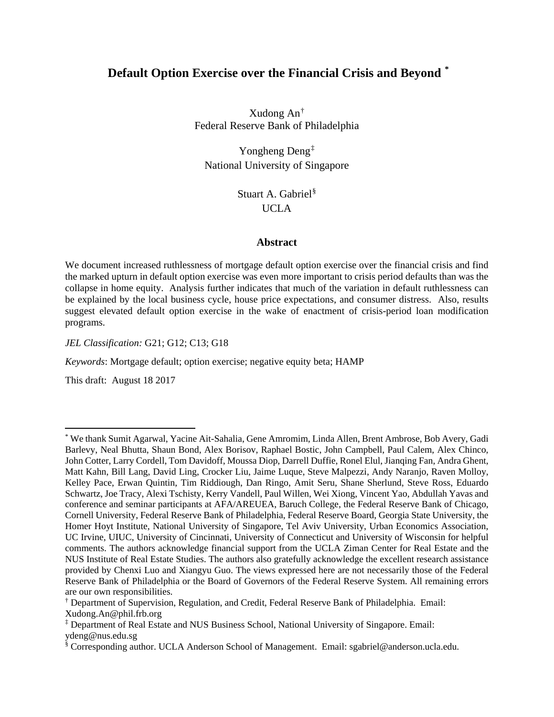# **Default Option Exercise over the Financial Crisis and Beyond [\\*](#page-0-0)**

Xudong An[†](#page-0-1) Federal Reserve Bank of Philadelphia

Yongheng Deng[‡](#page-0-2) National University of Singapore

> Stuart A. Gabriel[§](#page-0-3) UCLA

#### **Abstract**

We document increased ruthlessness of mortgage default option exercise over the financial crisis and find the marked upturn in default option exercise was even more important to crisis period defaults than was the collapse in home equity. Analysis further indicates that much of the variation in default ruthlessness can be explained by the local business cycle, house price expectations, and consumer distress. Also, results suggest elevated default option exercise in the wake of enactment of crisis-period loan modification programs.

*JEL Classification:* G21; G12; C13; G18

*Keywords*: Mortgage default; option exercise; negative equity beta; HAMP

This draft: August 18 2017

 $\overline{a}$ 

<span id="page-0-0"></span><sup>\*</sup> We thank Sumit Agarwal, Yacine Ait-Sahalia, Gene Amromim, Linda Allen, Brent Ambrose, Bob Avery, Gadi Barlevy, Neal Bhutta, Shaun Bond, Alex Borisov, Raphael Bostic, John Campbell, Paul Calem, Alex Chinco, John Cotter, Larry Cordell, Tom Davidoff, Moussa Diop, Darrell Duffie, Ronel Elul, Jianqing Fan, Andra Ghent, Matt Kahn, Bill Lang, David Ling, Crocker Liu, Jaime Luque, Steve Malpezzi, Andy Naranjo, Raven Molloy, Kelley Pace, Erwan Quintin, Tim Riddiough, Dan Ringo, Amit Seru, Shane Sherlund, Steve Ross, Eduardo Schwartz, Joe Tracy, Alexi Tschisty, Kerry Vandell, Paul Willen, Wei Xiong, Vincent Yao, Abdullah Yavas and conference and seminar participants at AFA/AREUEA, Baruch College, the Federal Reserve Bank of Chicago, Cornell University, Federal Reserve Bank of Philadelphia, Federal Reserve Board, Georgia State University, the Homer Hoyt Institute, National University of Singapore, Tel Aviv University, Urban Economics Association, UC Irvine, UIUC, University of Cincinnati, University of Connecticut and University of Wisconsin for helpful comments. The authors acknowledge financial support from the UCLA Ziman Center for Real Estate and the NUS Institute of Real Estate Studies. The authors also gratefully acknowledge the excellent research assistance provided by Chenxi Luo and Xiangyu Guo. The views expressed here are not necessarily those of the Federal Reserve Bank of Philadelphia or the Board of Governors of the Federal Reserve System. All remaining errors are our own responsibilities.

<span id="page-0-1"></span><sup>†</sup> Department of Supervision, Regulation, and Credit, Federal Reserve Bank of Philadelphia. Email: Xudong.An@phil.frb.org

<span id="page-0-2"></span><sup>‡</sup> Department of Real Estate and NUS Business School, National University of Singapore. Email: ydeng@nus.edu.sg

<span id="page-0-3"></span><sup>§</sup> Corresponding author. UCLA Anderson School of Management. Email: sgabriel@anderson.ucla.edu.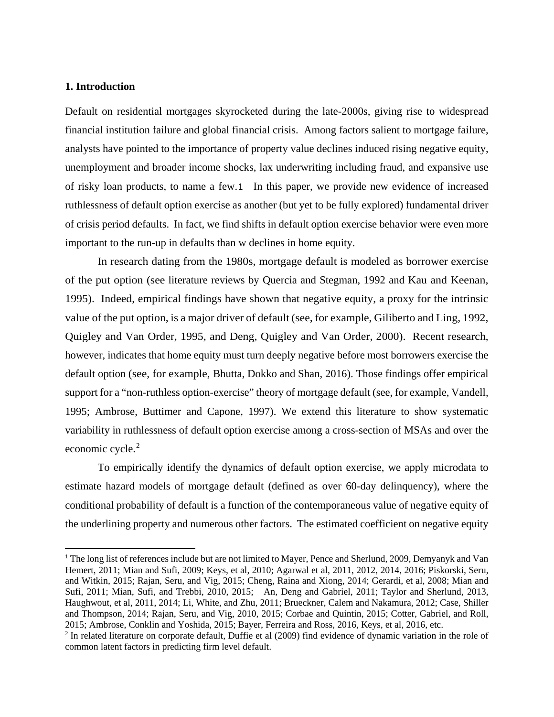### **1. Introduction**

Default on residential mortgages skyrocketed during the late-2000s, giving rise to widespread financial institution failure and global financial crisis. Among factors salient to mortgage failure, analysts have pointed to the importance of property value declines induced rising negative equity, unemployment and broader income shocks, lax underwriting including fraud, and expansive use of risky loan products, to name a few.[1](#page-1-0) In this paper, we provide new evidence of increased ruthlessness of default option exercise as another (but yet to be fully explored) fundamental driver of crisis period defaults. In fact, we find shifts in default option exercise behavior were even more important to the run-up in defaults than w declines in home equity.

In research dating from the 1980s, mortgage default is modeled as borrower exercise of the put option (see literature reviews by Quercia and Stegman, 1992 and Kau and Keenan, 1995). Indeed, empirical findings have shown that negative equity, a proxy for the intrinsic value of the put option, is a major driver of default (see, for example, Giliberto and Ling, 1992, Quigley and Van Order, 1995, and Deng, Quigley and Van Order, 2000). Recent research, however, indicates that home equity must turn deeply negative before most borrowers exercise the default option (see, for example, Bhutta, Dokko and Shan, 2016). Those findings offer empirical support for a "non-ruthless option-exercise" theory of mortgage default (see, for example, Vandell, 1995; Ambrose, Buttimer and Capone, 1997). We extend this literature to show systematic variability in ruthlessness of default option exercise among a cross-section of MSAs and over the economic cycle.<sup>[2](#page-1-1)</sup>

To empirically identify the dynamics of default option exercise, we apply microdata to estimate hazard models of mortgage default (defined as over 60-day delinquency), where the conditional probability of default is a function of the contemporaneous value of negative equity of the underlining property and numerous other factors. The estimated coefficient on negative equity

<span id="page-1-0"></span> <sup>1</sup> The long list of references include but are not limited to Mayer, Pence and Sherlund, 2009, Demyanyk and Van Hemert, 2011; Mian and Sufi, 2009; Keys, et al, 2010; Agarwal et al, 2011, 2012, 2014, 2016; Piskorski, Seru, and Witkin, 2015; Rajan, Seru, and Vig, 2015; Cheng, Raina and Xiong, 2014; Gerardi, et al, 2008; Mian and Sufi, 2011; Mian, Sufi, and Trebbi, 2010, 2015; An, Deng and Gabriel, 2011; Taylor and Sherlund, 2013, Haughwout, et al, 2011, 2014; Li, White, and Zhu, 2011; Brueckner, Calem and Nakamura, 2012; Case, Shiller and Thompson, 2014; Rajan, Seru, and Vig, 2010, 2015; Corbae and Quintin, 2015; Cotter, Gabriel, and Roll, 2015; Ambrose, Conklin and Yoshida, 2015; Bayer, Ferreira and Ross, 2016, Keys, et al, 2016, etc.

<span id="page-1-1"></span><sup>2</sup> In related literature on corporate default, Duffie et al (2009) find evidence of dynamic variation in the role of common latent factors in predicting firm level default.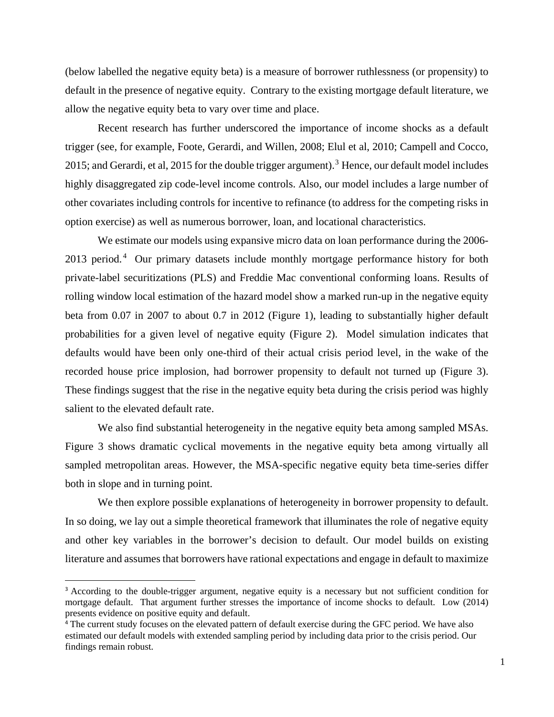(below labelled the negative equity beta) is a measure of borrower ruthlessness (or propensity) to default in the presence of negative equity. Contrary to the existing mortgage default literature, we allow the negative equity beta to vary over time and place.

Recent research has further underscored the importance of income shocks as a default trigger (see, for example, Foote, Gerardi, and Willen, 2008; Elul et al, 2010; Campell and Cocco, 2015; and Gerardi, et al, 2015 for the double trigger argument).<sup>[3](#page-2-0)</sup> Hence, our default model includes highly disaggregated zip code-level income controls. Also, our model includes a large number of other covariates including controls for incentive to refinance (to address for the competing risks in option exercise) as well as numerous borrower, loan, and locational characteristics.

We estimate our models using expansive micro data on loan performance during the 2006-  $2013$  period.<sup>[4](#page-2-1)</sup> Our primary datasets include monthly mortgage performance history for both private-label securitizations (PLS) and Freddie Mac conventional conforming loans. Results of rolling window local estimation of the hazard model show a marked run-up in the negative equity beta from 0.07 in 2007 to about 0.7 in 2012 (Figure 1), leading to substantially higher default probabilities for a given level of negative equity (Figure 2). Model simulation indicates that defaults would have been only one-third of their actual crisis period level, in the wake of the recorded house price implosion, had borrower propensity to default not turned up (Figure 3). These findings suggest that the rise in the negative equity beta during the crisis period was highly salient to the elevated default rate.

We also find substantial heterogeneity in the negative equity beta among sampled MSAs. Figure 3 shows dramatic cyclical movements in the negative equity beta among virtually all sampled metropolitan areas. However, the MSA-specific negative equity beta time-series differ both in slope and in turning point.

We then explore possible explanations of heterogeneity in borrower propensity to default. In so doing, we lay out a simple theoretical framework that illuminates the role of negative equity and other key variables in the borrower's decision to default. Our model builds on existing literature and assumes that borrowers have rational expectations and engage in default to maximize

<span id="page-2-0"></span><sup>&</sup>lt;sup>3</sup> According to the double-trigger argument, negative equity is a necessary but not sufficient condition for mortgage default. That argument further stresses the importance of income shocks to default. Low (2014) presents evidence on positive equity and default.

<span id="page-2-1"></span><sup>4</sup> The current study focuses on the elevated pattern of default exercise during the GFC period. We have also estimated our default models with extended sampling period by including data prior to the crisis period. Our findings remain robust.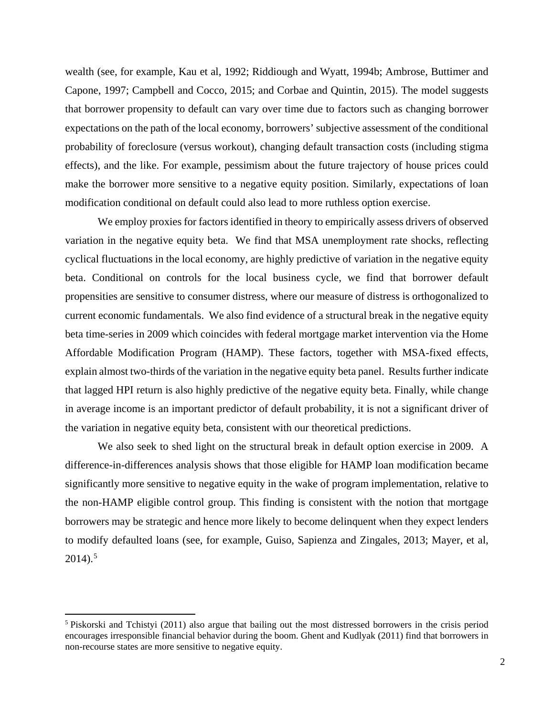wealth (see, for example, Kau et al, 1992; Riddiough and Wyatt, 1994b; Ambrose, Buttimer and Capone, 1997; Campbell and Cocco, 2015; and Corbae and Quintin, 2015). The model suggests that borrower propensity to default can vary over time due to factors such as changing borrower expectations on the path of the local economy, borrowers' subjective assessment of the conditional probability of foreclosure (versus workout), changing default transaction costs (including stigma effects), and the like. For example, pessimism about the future trajectory of house prices could make the borrower more sensitive to a negative equity position. Similarly, expectations of loan modification conditional on default could also lead to more ruthless option exercise.

We employ proxies for factors identified in theory to empirically assess drivers of observed variation in the negative equity beta. We find that MSA unemployment rate shocks, reflecting cyclical fluctuations in the local economy, are highly predictive of variation in the negative equity beta. Conditional on controls for the local business cycle, we find that borrower default propensities are sensitive to consumer distress, where our measure of distress is orthogonalized to current economic fundamentals. We also find evidence of a structural break in the negative equity beta time-series in 2009 which coincides with federal mortgage market intervention via the Home Affordable Modification Program (HAMP). These factors, together with MSA-fixed effects, explain almost two-thirds of the variation in the negative equity beta panel. Results further indicate that lagged HPI return is also highly predictive of the negative equity beta. Finally, while change in average income is an important predictor of default probability, it is not a significant driver of the variation in negative equity beta, consistent with our theoretical predictions.

We also seek to shed light on the structural break in default option exercise in 2009. A difference-in-differences analysis shows that those eligible for HAMP loan modification became significantly more sensitive to negative equity in the wake of program implementation, relative to the non-HAMP eligible control group. This finding is consistent with the notion that mortgage borrowers may be strategic and hence more likely to become delinquent when they expect lenders to modify defaulted loans (see, for example, Guiso, Sapienza and Zingales, 2013; Mayer, et al,  $2014$ ).<sup>[5](#page-3-0)</sup>

 $\overline{\phantom{a}}$ 

<span id="page-3-0"></span><sup>5</sup> Piskorski and Tchistyi (2011) also argue that bailing out the most distressed borrowers in the crisis period encourages irresponsible financial behavior during the boom. Ghent and Kudlyak (2011) find that borrowers in non-recourse states are more sensitive to negative equity.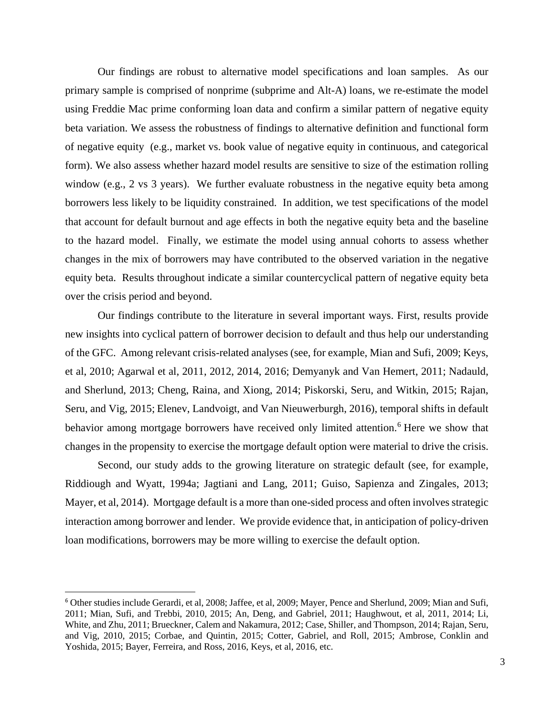Our findings are robust to alternative model specifications and loan samples. As our primary sample is comprised of nonprime (subprime and Alt-A) loans, we re-estimate the model using Freddie Mac prime conforming loan data and confirm a similar pattern of negative equity beta variation. We assess the robustness of findings to alternative definition and functional form of negative equity (e.g., market vs. book value of negative equity in continuous, and categorical form). We also assess whether hazard model results are sensitive to size of the estimation rolling window (e.g., 2 vs 3 years). We further evaluate robustness in the negative equity beta among borrowers less likely to be liquidity constrained. In addition, we test specifications of the model that account for default burnout and age effects in both the negative equity beta and the baseline to the hazard model. Finally, we estimate the model using annual cohorts to assess whether changes in the mix of borrowers may have contributed to the observed variation in the negative equity beta. Results throughout indicate a similar countercyclical pattern of negative equity beta over the crisis period and beyond.

Our findings contribute to the literature in several important ways. First, results provide new insights into cyclical pattern of borrower decision to default and thus help our understanding of the GFC. Among relevant crisis-related analyses (see, for example, Mian and Sufi, 2009; Keys, et al, 2010; Agarwal et al, 2011, 2012, 2014, 2016; Demyanyk and Van Hemert, 2011; Nadauld, and Sherlund, 2013; Cheng, Raina, and Xiong, 2014; Piskorski, Seru, and Witkin, 2015; Rajan, Seru, and Vig, 2015; Elenev, Landvoigt, and Van Nieuwerburgh, 2016), temporal shifts in default behavior among mortgage borrowers have received only limited attention.<sup>[6](#page-4-0)</sup> Here we show that changes in the propensity to exercise the mortgage default option were material to drive the crisis.

Second, our study adds to the growing literature on strategic default (see, for example, Riddiough and Wyatt, 1994a; Jagtiani and Lang, 2011; Guiso, Sapienza and Zingales, 2013; Mayer, et al, 2014). Mortgage default is a more than one-sided process and often involves strategic interaction among borrower and lender. We provide evidence that, in anticipation of policy-driven loan modifications, borrowers may be more willing to exercise the default option.

<span id="page-4-0"></span> <sup>6</sup> Other studies include Gerardi, et al, 2008; Jaffee, et al, 2009; Mayer, Pence and Sherlund, 2009; Mian and Sufi, 2011; Mian, Sufi, and Trebbi, 2010, 2015; An, Deng, and Gabriel, 2011; Haughwout, et al, 2011, 2014; Li, White, and Zhu, 2011; Brueckner, Calem and Nakamura, 2012; Case, Shiller, and Thompson, 2014; Rajan, Seru, and Vig, 2010, 2015; Corbae, and Quintin, 2015; Cotter, Gabriel, and Roll, 2015; Ambrose, Conklin and Yoshida, 2015; Bayer, Ferreira, and Ross, 2016, Keys, et al, 2016, etc.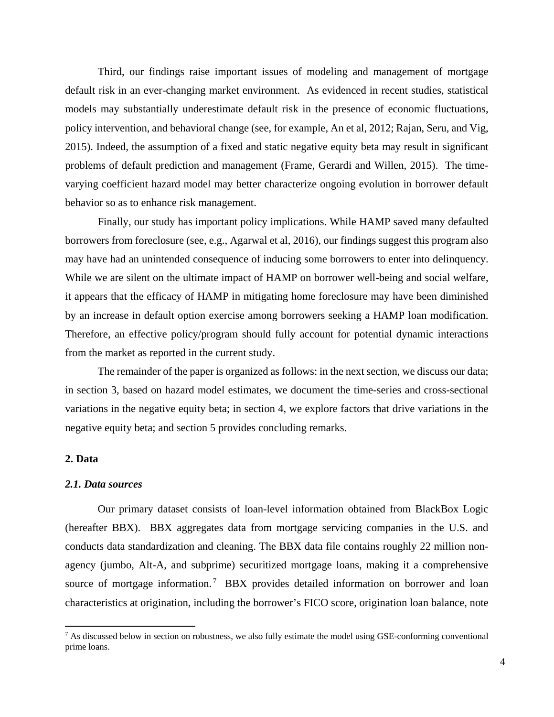Third, our findings raise important issues of modeling and management of mortgage default risk in an ever-changing market environment. As evidenced in recent studies, statistical models may substantially underestimate default risk in the presence of economic fluctuations, policy intervention, and behavioral change (see, for example, An et al, 2012; Rajan, Seru, and Vig, 2015). Indeed, the assumption of a fixed and static negative equity beta may result in significant problems of default prediction and management (Frame, Gerardi and Willen, 2015). The timevarying coefficient hazard model may better characterize ongoing evolution in borrower default behavior so as to enhance risk management.

Finally, our study has important policy implications. While HAMP saved many defaulted borrowers from foreclosure (see, e.g., Agarwal et al, 2016), our findings suggest this program also may have had an unintended consequence of inducing some borrowers to enter into delinquency. While we are silent on the ultimate impact of HAMP on borrower well-being and social welfare, it appears that the efficacy of HAMP in mitigating home foreclosure may have been diminished by an increase in default option exercise among borrowers seeking a HAMP loan modification. Therefore, an effective policy/program should fully account for potential dynamic interactions from the market as reported in the current study.

The remainder of the paper is organized as follows: in the next section, we discuss our data; in section 3, based on hazard model estimates, we document the time-series and cross-sectional variations in the negative equity beta; in section 4, we explore factors that drive variations in the negative equity beta; and section 5 provides concluding remarks.

### **2. Data**

 $\overline{\phantom{a}}$ 

### *2.1. Data sources*

Our primary dataset consists of loan-level information obtained from BlackBox Logic (hereafter BBX). BBX aggregates data from mortgage servicing companies in the U.S. and conducts data standardization and cleaning. The BBX data file contains roughly 22 million nonagency (jumbo, Alt-A, and subprime) securitized mortgage loans, making it a comprehensive source of mortgage information.<sup>[7](#page-5-0)</sup> BBX provides detailed information on borrower and loan characteristics at origination, including the borrower's FICO score, origination loan balance, note

<span id="page-5-0"></span> $7$  As discussed below in section on robustness, we also fully estimate the model using GSE-conforming conventional prime loans.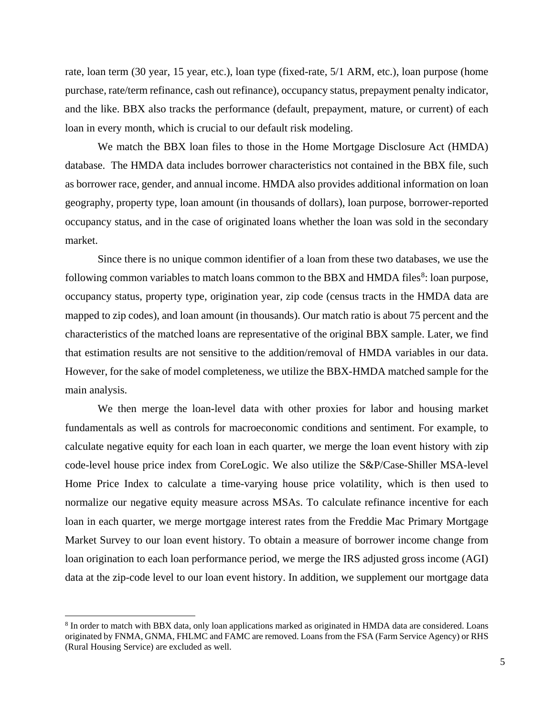rate, loan term (30 year, 15 year, etc.), loan type (fixed-rate, 5/1 ARM, etc.), loan purpose (home purchase, rate/term refinance, cash out refinance), occupancy status, prepayment penalty indicator, and the like. BBX also tracks the performance (default, prepayment, mature, or current) of each loan in every month, which is crucial to our default risk modeling.

We match the BBX loan files to those in the Home Mortgage Disclosure Act (HMDA) database. The HMDA data includes borrower characteristics not contained in the BBX file, such as borrower race, gender, and annual income. HMDA also provides additional information on loan geography, property type, loan amount (in thousands of dollars), loan purpose, borrower-reported occupancy status, and in the case of originated loans whether the loan was sold in the secondary market.

Since there is no unique common identifier of a loan from these two databases, we use the following common variables to match loans common to the BBX and HMDA files<sup>[8](#page-6-0)</sup>: loan purpose, occupancy status, property type, origination year, zip code (census tracts in the HMDA data are mapped to zip codes), and loan amount (in thousands). Our match ratio is about 75 percent and the characteristics of the matched loans are representative of the original BBX sample. Later, we find that estimation results are not sensitive to the addition/removal of HMDA variables in our data. However, for the sake of model completeness, we utilize the BBX-HMDA matched sample for the main analysis.

We then merge the loan-level data with other proxies for labor and housing market fundamentals as well as controls for macroeconomic conditions and sentiment. For example, to calculate negative equity for each loan in each quarter, we merge the loan event history with zip code-level house price index from CoreLogic. We also utilize the S&P/Case-Shiller MSA-level Home Price Index to calculate a time-varying house price volatility, which is then used to normalize our negative equity measure across MSAs. To calculate refinance incentive for each loan in each quarter, we merge mortgage interest rates from the Freddie Mac Primary Mortgage Market Survey to our loan event history. To obtain a measure of borrower income change from loan origination to each loan performance period, we merge the IRS adjusted gross income (AGI) data at the zip-code level to our loan event history. In addition, we supplement our mortgage data

 $\overline{a}$ 

<span id="page-6-0"></span><sup>8</sup> In order to match with BBX data, only loan applications marked as originated in HMDA data are considered. Loans originated by FNMA, GNMA, FHLMC and FAMC are removed. Loans from the FSA (Farm Service Agency) or RHS (Rural Housing Service) are excluded as well.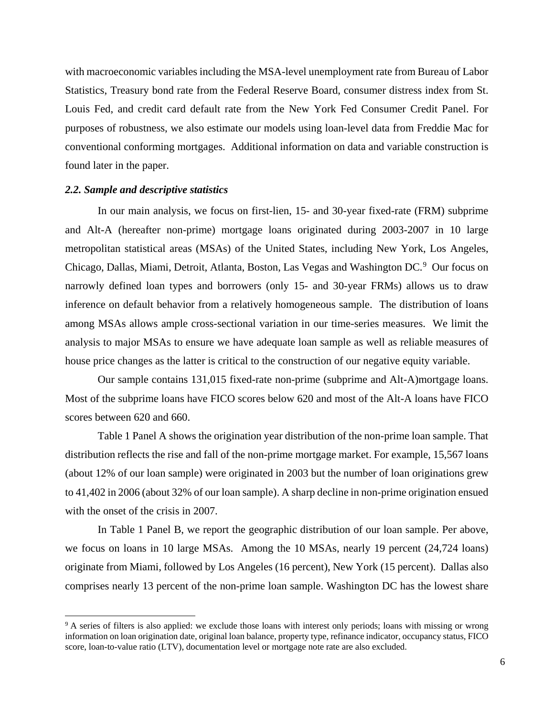with macroeconomic variables including the MSA-level unemployment rate from Bureau of Labor Statistics, Treasury bond rate from the Federal Reserve Board, consumer distress index from St. Louis Fed, and credit card default rate from the New York Fed Consumer Credit Panel. For purposes of robustness, we also estimate our models using loan-level data from Freddie Mac for conventional conforming mortgages. Additional information on data and variable construction is found later in the paper.

### *2.2. Sample and descriptive statistics*

 $\overline{a}$ 

In our main analysis, we focus on first-lien, 15- and 30-year fixed-rate (FRM) subprime and Alt-A (hereafter non-prime) mortgage loans originated during 2003-2007 in 10 large metropolitan statistical areas (MSAs) of the United States, including New York, Los Angeles, Chicago, Dallas, Miami, Detroit, Atlanta, Boston, Las Vegas and Washington DC.<sup>[9](#page-7-0)</sup> Our focus on narrowly defined loan types and borrowers (only 15- and 30-year FRMs) allows us to draw inference on default behavior from a relatively homogeneous sample. The distribution of loans among MSAs allows ample cross-sectional variation in our time-series measures. We limit the analysis to major MSAs to ensure we have adequate loan sample as well as reliable measures of house price changes as the latter is critical to the construction of our negative equity variable.

Our sample contains 131,015 fixed-rate non-prime (subprime and Alt-A)mortgage loans. Most of the subprime loans have FICO scores below 620 and most of the Alt-A loans have FICO scores between 620 and 660.

Table 1 Panel A shows the origination year distribution of the non-prime loan sample. That distribution reflects the rise and fall of the non-prime mortgage market. For example, 15,567 loans (about 12% of our loan sample) were originated in 2003 but the number of loan originations grew to 41,402 in 2006 (about 32% of our loan sample). A sharp decline in non-prime origination ensued with the onset of the crisis in 2007.

In Table 1 Panel B, we report the geographic distribution of our loan sample. Per above, we focus on loans in 10 large MSAs. Among the 10 MSAs, nearly 19 percent (24,724 loans) originate from Miami, followed by Los Angeles (16 percent), New York (15 percent). Dallas also comprises nearly 13 percent of the non-prime loan sample. Washington DC has the lowest share

<span id="page-7-0"></span><sup>&</sup>lt;sup>9</sup> A series of filters is also applied: we exclude those loans with interest only periods; loans with missing or wrong information on loan origination date, original loan balance, property type, refinance indicator, occupancy status, FICO score, loan-to-value ratio (LTV), documentation level or mortgage note rate are also excluded.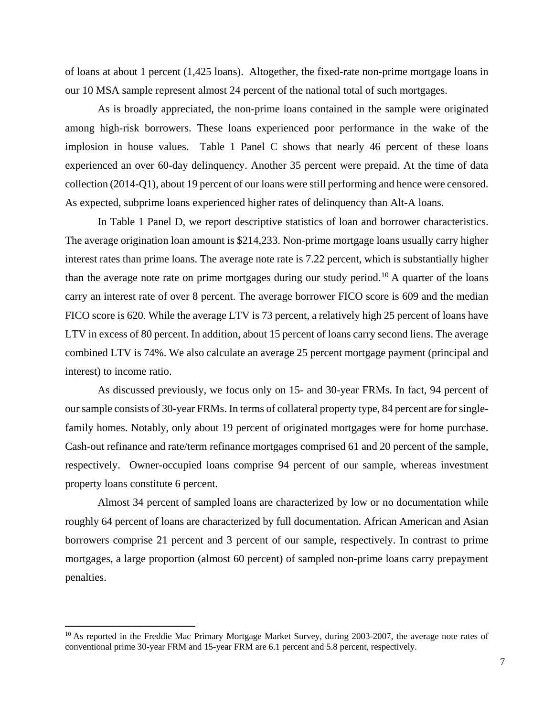of loans at about 1 percent (1,425 loans). Altogether, the fixed-rate non-prime mortgage loans in our 10 MSA sample represent almost 24 percent of the national total of such mortgages.

As is broadly appreciated, the non-prime loans contained in the sample were originated among high-risk borrowers. These loans experienced poor performance in the wake of the implosion in house values. Table 1 Panel C shows that nearly 46 percent of these loans experienced an over 60-day delinquency. Another 35 percent were prepaid. At the time of data collection (2014-Q1), about 19 percent of our loans were still performing and hence were censored. As expected, subprime loans experienced higher rates of delinquency than Alt-A loans.

In Table 1 Panel D, we report descriptive statistics of loan and borrower characteristics. The average origination loan amount is \$214,233. Non-prime mortgage loans usually carry higher interest rates than prime loans. The average note rate is 7.22 percent, which is substantially higher than the average note rate on prime mortgages during our study period.<sup>[10](#page-8-0)</sup> A quarter of the loans carry an interest rate of over 8 percent. The average borrower FICO score is 609 and the median FICO score is 620. While the average LTV is 73 percent, a relatively high 25 percent of loans have LTV in excess of 80 percent. In addition, about 15 percent of loans carry second liens. The average combined LTV is 74%. We also calculate an average 25 percent mortgage payment (principal and interest) to income ratio.

As discussed previously, we focus only on 15- and 30-year FRMs. In fact, 94 percent of our sample consists of 30-year FRMs. In terms of collateral property type, 84 percent are for singlefamily homes. Notably, only about 19 percent of originated mortgages were for home purchase. Cash-out refinance and rate/term refinance mortgages comprised 61 and 20 percent of the sample, respectively. Owner-occupied loans comprise 94 percent of our sample, whereas investment property loans constitute 6 percent.

Almost 34 percent of sampled loans are characterized by low or no documentation while roughly 64 percent of loans are characterized by full documentation. African American and Asian borrowers comprise 21 percent and 3 percent of our sample, respectively. In contrast to prime mortgages, a large proportion (almost 60 percent) of sampled non-prime loans carry prepayment penalties.

 $\overline{\phantom{a}}$ 

<span id="page-8-0"></span><sup>&</sup>lt;sup>10</sup> As reported in the Freddie Mac Primary Mortgage Market Survey, during 2003-2007, the average note rates of conventional prime 30-year FRM and 15-year FRM are 6.1 percent and 5.8 percent, respectively.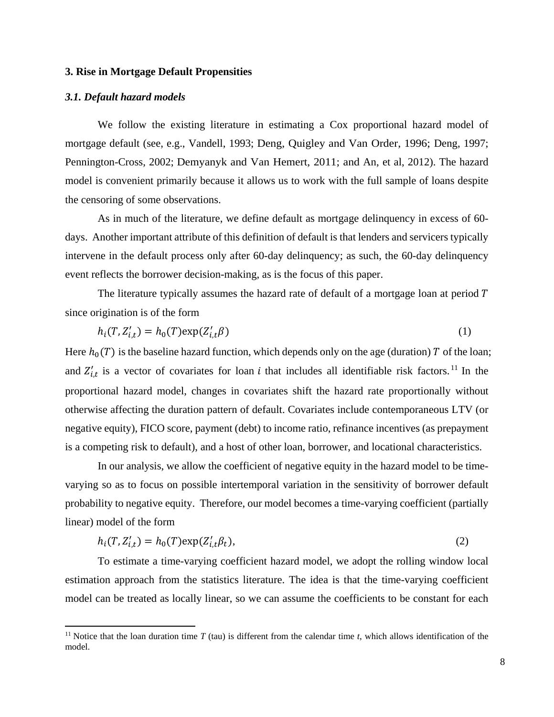### **3. Rise in Mortgage Default Propensities**

### *3.1. Default hazard models*

 $\overline{\phantom{a}}$ 

We follow the existing literature in estimating a Cox proportional hazard model of mortgage default (see, e.g., Vandell, 1993; Deng, Quigley and Van Order, 1996; Deng, 1997; Pennington-Cross, 2002; Demyanyk and Van Hemert, 2011; and An, et al, 2012). The hazard model is convenient primarily because it allows us to work with the full sample of loans despite the censoring of some observations.

As in much of the literature, we define default as mortgage delinquency in excess of 60 days. Another important attribute of this definition of default is that lenders and servicers typically intervene in the default process only after 60-day delinquency; as such, the 60-day delinquency event reflects the borrower decision-making, as is the focus of this paper.

The literature typically assumes the hazard rate of default of a mortgage loan at period  $T$ since origination is of the form

$$
h_i(T, Z'_{i,t}) = h_0(T) \exp(Z'_{i,t} \beta) \tag{1}
$$

Here  $h_0(T)$  is the baseline hazard function, which depends only on the age (duration) T of the loan; and  $Z'_{i,t}$  is a vector of covariates for loan *i* that includes all identifiable risk factors.<sup>[11](#page-9-0)</sup> In the proportional hazard model, changes in covariates shift the hazard rate proportionally without otherwise affecting the duration pattern of default. Covariates include contemporaneous LTV (or negative equity), FICO score, payment (debt) to income ratio, refinance incentives (as prepayment is a competing risk to default), and a host of other loan, borrower, and locational characteristics.

In our analysis, we allow the coefficient of negative equity in the hazard model to be timevarying so as to focus on possible intertemporal variation in the sensitivity of borrower default probability to negative equity. Therefore, our model becomes a time-varying coefficient (partially linear) model of the form

$$
h_i(T, Z'_{i,t}) = h_0(T) \exp(Z'_{i,t} \beta_t),
$$
\n(2)

To estimate a time-varying coefficient hazard model, we adopt the rolling window local estimation approach from the statistics literature. The idea is that the time-varying coefficient model can be treated as locally linear, so we can assume the coefficients to be constant for each

<span id="page-9-0"></span><sup>&</sup>lt;sup>11</sup> Notice that the loan duration time  $T$  (tau) is different from the calendar time  $t$ , which allows identification of the model.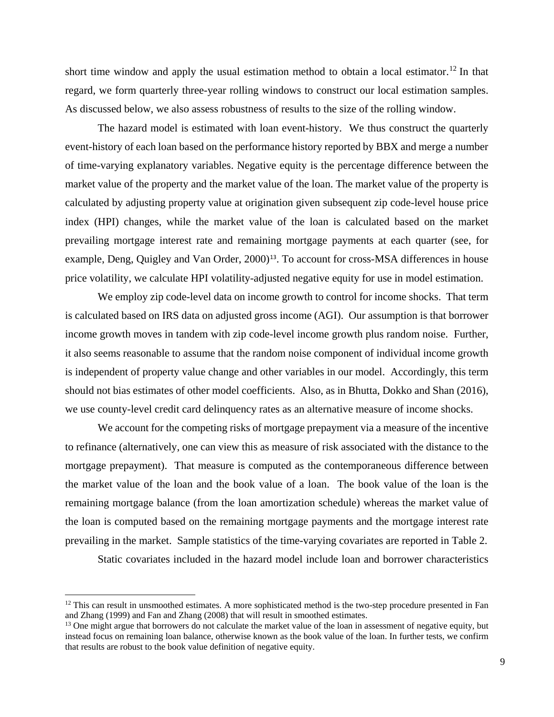short time window and apply the usual estimation method to obtain a local estimator.<sup>[12](#page-10-0)</sup> In that regard, we form quarterly three-year rolling windows to construct our local estimation samples. As discussed below, we also assess robustness of results to the size of the rolling window.

The hazard model is estimated with loan event-history. We thus construct the quarterly event-history of each loan based on the performance history reported by BBX and merge a number of time-varying explanatory variables. Negative equity is the percentage difference between the market value of the property and the market value of the loan. The market value of the property is calculated by adjusting property value at origination given subsequent zip code-level house price index (HPI) changes, while the market value of the loan is calculated based on the market prevailing mortgage interest rate and remaining mortgage payments at each quarter (see, for example, Deng, Quigley and Van Order, 2000)<sup>[13](#page-10-1)</sup>. To account for cross-MSA differences in house price volatility, we calculate HPI volatility-adjusted negative equity for use in model estimation.

We employ zip code-level data on income growth to control for income shocks. That term is calculated based on IRS data on adjusted gross income (AGI). Our assumption is that borrower income growth moves in tandem with zip code-level income growth plus random noise. Further, it also seems reasonable to assume that the random noise component of individual income growth is independent of property value change and other variables in our model. Accordingly, this term should not bias estimates of other model coefficients. Also, as in Bhutta, Dokko and Shan (2016), we use county-level credit card delinquency rates as an alternative measure of income shocks.

We account for the competing risks of mortgage prepayment via a measure of the incentive to refinance (alternatively, one can view this as measure of risk associated with the distance to the mortgage prepayment). That measure is computed as the contemporaneous difference between the market value of the loan and the book value of a loan. The book value of the loan is the remaining mortgage balance (from the loan amortization schedule) whereas the market value of the loan is computed based on the remaining mortgage payments and the mortgage interest rate prevailing in the market. Sample statistics of the time-varying covariates are reported in Table 2.

Static covariates included in the hazard model include loan and borrower characteristics

 $\overline{\phantom{a}}$ 

<span id="page-10-0"></span><sup>&</sup>lt;sup>12</sup> This can result in unsmoothed estimates. A more sophisticated method is the two-step procedure presented in Fan and Zhang  $(1999)$  and Fan and Zhang  $(2008)$  that will result in smoothed estimates.

<span id="page-10-1"></span> $13$  One might argue that borrowers do not calculate the market value of the loan in assessment of negative equity, but instead focus on remaining loan balance, otherwise known as the book value of the loan. In further tests, we confirm that results are robust to the book value definition of negative equity.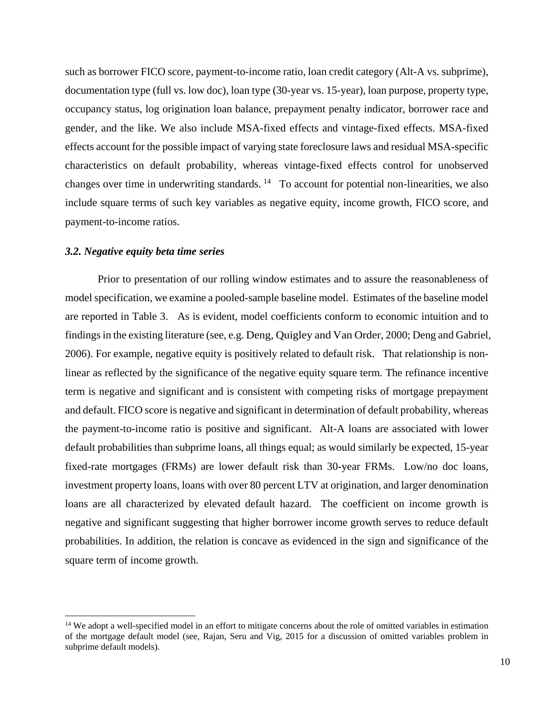such as borrower FICO score, payment-to-income ratio, loan credit category (Alt-A vs. subprime), documentation type (full vs. low doc), loan type (30-year vs. 15-year), loan purpose, property type, occupancy status, log origination loan balance, prepayment penalty indicator, borrower race and gender, and the like. We also include MSA-fixed effects and vintage-fixed effects. MSA-fixed effects account for the possible impact of varying state foreclosure laws and residual MSA-specific characteristics on default probability, whereas vintage-fixed effects control for unobserved changes over time in underwriting standards.  $14$  To account for potential non-linearities, we also include square terms of such key variables as negative equity, income growth, FICO score, and payment-to-income ratios.

#### *3.2. Negative equity beta time series*

 $\overline{a}$ 

Prior to presentation of our rolling window estimates and to assure the reasonableness of model specification, we examine a pooled-sample baseline model. Estimates of the baseline model are reported in Table 3. As is evident, model coefficients conform to economic intuition and to findings in the existing literature (see, e.g. Deng, Quigley and Van Order, 2000; Deng and Gabriel, 2006). For example, negative equity is positively related to default risk. That relationship is nonlinear as reflected by the significance of the negative equity square term. The refinance incentive term is negative and significant and is consistent with competing risks of mortgage prepayment and default. FICO score is negative and significant in determination of default probability, whereas the payment-to-income ratio is positive and significant. Alt-A loans are associated with lower default probabilities than subprime loans, all things equal; as would similarly be expected, 15-year fixed-rate mortgages (FRMs) are lower default risk than 30-year FRMs. Low/no doc loans, investment property loans, loans with over 80 percent LTV at origination, and larger denomination loans are all characterized by elevated default hazard. The coefficient on income growth is negative and significant suggesting that higher borrower income growth serves to reduce default probabilities. In addition, the relation is concave as evidenced in the sign and significance of the square term of income growth.

<span id="page-11-0"></span><sup>&</sup>lt;sup>14</sup> We adopt a well-specified model in an effort to mitigate concerns about the role of omitted variables in estimation of the mortgage default model (see, Rajan, Seru and Vig, 2015 for a discussion of omitted variables problem in subprime default models).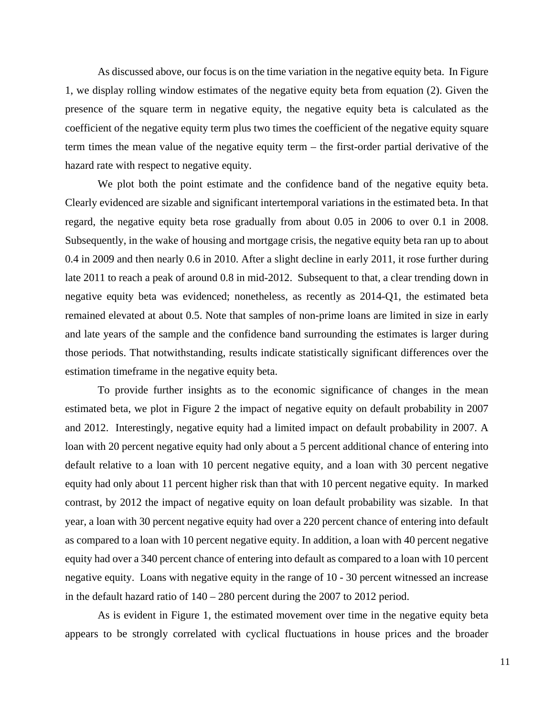As discussed above, our focus is on the time variation in the negative equity beta. In Figure 1, we display rolling window estimates of the negative equity beta from equation (2). Given the presence of the square term in negative equity, the negative equity beta is calculated as the coefficient of the negative equity term plus two times the coefficient of the negative equity square term times the mean value of the negative equity term – the first-order partial derivative of the hazard rate with respect to negative equity.

We plot both the point estimate and the confidence band of the negative equity beta. Clearly evidenced are sizable and significant intertemporal variations in the estimated beta. In that regard, the negative equity beta rose gradually from about 0.05 in 2006 to over 0.1 in 2008. Subsequently, in the wake of housing and mortgage crisis, the negative equity beta ran up to about 0.4 in 2009 and then nearly 0.6 in 2010. After a slight decline in early 2011, it rose further during late 2011 to reach a peak of around 0.8 in mid-2012. Subsequent to that, a clear trending down in negative equity beta was evidenced; nonetheless, as recently as 2014-Q1, the estimated beta remained elevated at about 0.5. Note that samples of non-prime loans are limited in size in early and late years of the sample and the confidence band surrounding the estimates is larger during those periods. That notwithstanding, results indicate statistically significant differences over the estimation timeframe in the negative equity beta.

To provide further insights as to the economic significance of changes in the mean estimated beta, we plot in Figure 2 the impact of negative equity on default probability in 2007 and 2012. Interestingly, negative equity had a limited impact on default probability in 2007. A loan with 20 percent negative equity had only about a 5 percent additional chance of entering into default relative to a loan with 10 percent negative equity, and a loan with 30 percent negative equity had only about 11 percent higher risk than that with 10 percent negative equity. In marked contrast, by 2012 the impact of negative equity on loan default probability was sizable. In that year, a loan with 30 percent negative equity had over a 220 percent chance of entering into default as compared to a loan with 10 percent negative equity. In addition, a loan with 40 percent negative equity had over a 340 percent chance of entering into default as compared to a loan with 10 percent negative equity. Loans with negative equity in the range of 10 - 30 percent witnessed an increase in the default hazard ratio of 140 – 280 percent during the 2007 to 2012 period.

As is evident in Figure 1, the estimated movement over time in the negative equity beta appears to be strongly correlated with cyclical fluctuations in house prices and the broader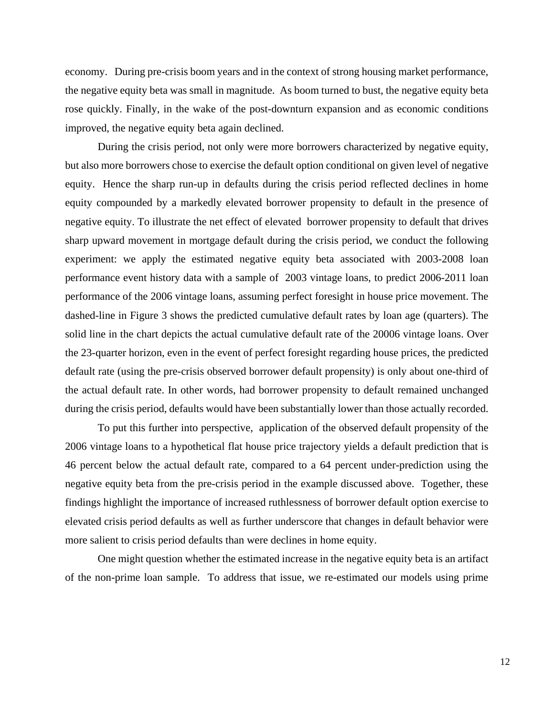economy. During pre-crisis boom years and in the context of strong housing market performance, the negative equity beta was small in magnitude. As boom turned to bust, the negative equity beta rose quickly. Finally, in the wake of the post-downturn expansion and as economic conditions improved, the negative equity beta again declined.

During the crisis period, not only were more borrowers characterized by negative equity, but also more borrowers chose to exercise the default option conditional on given level of negative equity. Hence the sharp run-up in defaults during the crisis period reflected declines in home equity compounded by a markedly elevated borrower propensity to default in the presence of negative equity. To illustrate the net effect of elevated borrower propensity to default that drives sharp upward movement in mortgage default during the crisis period, we conduct the following experiment: we apply the estimated negative equity beta associated with 2003-2008 loan performance event history data with a sample of 2003 vintage loans, to predict 2006-2011 loan performance of the 2006 vintage loans, assuming perfect foresight in house price movement. The dashed-line in Figure 3 shows the predicted cumulative default rates by loan age (quarters). The solid line in the chart depicts the actual cumulative default rate of the 20006 vintage loans. Over the 23-quarter horizon, even in the event of perfect foresight regarding house prices, the predicted default rate (using the pre-crisis observed borrower default propensity) is only about one-third of the actual default rate. In other words, had borrower propensity to default remained unchanged during the crisis period, defaults would have been substantially lower than those actually recorded.

To put this further into perspective, application of the observed default propensity of the 2006 vintage loans to a hypothetical flat house price trajectory yields a default prediction that is 46 percent below the actual default rate, compared to a 64 percent under-prediction using the negative equity beta from the pre-crisis period in the example discussed above. Together, these findings highlight the importance of increased ruthlessness of borrower default option exercise to elevated crisis period defaults as well as further underscore that changes in default behavior were more salient to crisis period defaults than were declines in home equity.

One might question whether the estimated increase in the negative equity beta is an artifact of the non-prime loan sample. To address that issue, we re-estimated our models using prime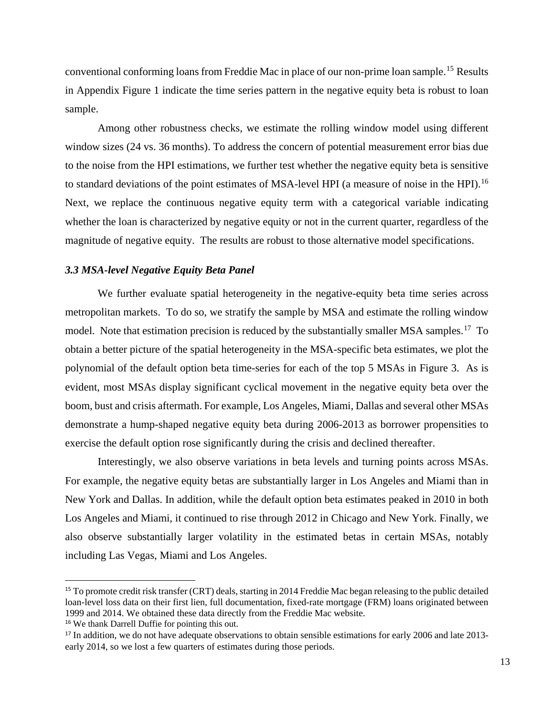conventional conforming loans from Freddie Mac in place of our non-prime loan sample.[15](#page-14-0) Results in Appendix Figure 1 indicate the time series pattern in the negative equity beta is robust to loan sample.

Among other robustness checks, we estimate the rolling window model using different window sizes (24 vs. 36 months). To address the concern of potential measurement error bias due to the noise from the HPI estimations, we further test whether the negative equity beta is sensitive to standard deviations of the point estimates of MSA-level HPI (a measure of noise in the HPI).<sup>[16](#page-14-1)</sup> Next, we replace the continuous negative equity term with a categorical variable indicating whether the loan is characterized by negative equity or not in the current quarter, regardless of the magnitude of negative equity. The results are robust to those alternative model specifications.

### *3.3 MSA-level Negative Equity Beta Panel*

We further evaluate spatial heterogeneity in the negative-equity beta time series across metropolitan markets. To do so, we stratify the sample by MSA and estimate the rolling window model. Note that estimation precision is reduced by the substantially smaller MSA samples.<sup>17</sup> To obtain a better picture of the spatial heterogeneity in the MSA-specific beta estimates, we plot the polynomial of the default option beta time-series for each of the top 5 MSAs in Figure 3. As is evident, most MSAs display significant cyclical movement in the negative equity beta over the boom, bust and crisis aftermath. For example, Los Angeles, Miami, Dallas and several other MSAs demonstrate a hump-shaped negative equity beta during 2006-2013 as borrower propensities to exercise the default option rose significantly during the crisis and declined thereafter.

Interestingly, we also observe variations in beta levels and turning points across MSAs. For example, the negative equity betas are substantially larger in Los Angeles and Miami than in New York and Dallas. In addition, while the default option beta estimates peaked in 2010 in both Los Angeles and Miami, it continued to rise through 2012 in Chicago and New York. Finally, we also observe substantially larger volatility in the estimated betas in certain MSAs, notably including Las Vegas, Miami and Los Angeles.

<span id="page-14-0"></span> <sup>15</sup> To promote credit risk transfer (CRT) deals, starting in 2014 Freddie Mac began releasing to the public detailed loan-level loss data on their first lien, full documentation, fixed-rate mortgage (FRM) loans originated between 1999 and 2014. We obtained these data directly from the Freddie Mac website.

<span id="page-14-1"></span><sup>16</sup> We thank Darrell Duffie for pointing this out.

<span id="page-14-2"></span><sup>&</sup>lt;sup>17</sup> In addition, we do not have adequate observations to obtain sensible estimations for early 2006 and late 2013early 2014, so we lost a few quarters of estimates during those periods.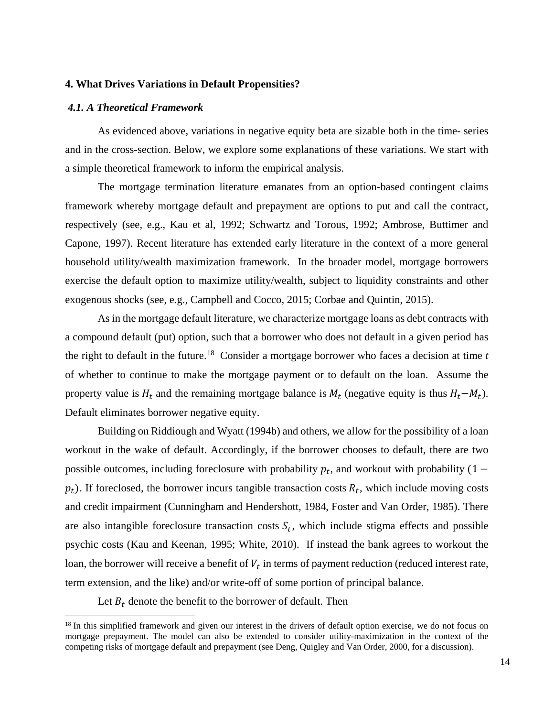### **4. What Drives Variations in Default Propensities?**

### *4.1. A Theoretical Framework*

As evidenced above, variations in negative equity beta are sizable both in the time- series and in the cross-section. Below, we explore some explanations of these variations. We start with a simple theoretical framework to inform the empirical analysis.

The mortgage termination literature emanates from an option-based contingent claims framework whereby mortgage default and prepayment are options to put and call the contract, respectively (see, e.g., Kau et al, 1992; Schwartz and Torous, 1992; Ambrose, Buttimer and Capone, 1997). Recent literature has extended early literature in the context of a more general household utility/wealth maximization framework. In the broader model, mortgage borrowers exercise the default option to maximize utility/wealth, subject to liquidity constraints and other exogenous shocks (see, e.g., Campbell and Cocco, 2015; Corbae and Quintin, 2015).

As in the mortgage default literature, we characterize mortgage loans as debt contracts with a compound default (put) option, such that a borrower who does not default in a given period has the right to default in the future.[18](#page-15-0) Consider a mortgage borrower who faces a decision at time *t* of whether to continue to make the mortgage payment or to default on the loan. Assume the property value is  $H_t$  and the remaining mortgage balance is  $M_t$  (negative equity is thus  $H_t - M_t$ ). Default eliminates borrower negative equity.

Building on Riddiough and Wyatt (1994b) and others, we allow for the possibility of a loan workout in the wake of default. Accordingly, if the borrower chooses to default, there are two possible outcomes, including foreclosure with probability  $p_t$ , and workout with probability (1 –  $p_t$ ). If foreclosed, the borrower incurs tangible transaction costs  $R_t$ , which include moving costs and credit impairment (Cunningham and Hendershott, 1984, Foster and Van Order, 1985). There are also intangible foreclosure transaction costs  $S_t$ , which include stigma effects and possible psychic costs (Kau and Keenan, 1995; White, 2010). If instead the bank agrees to workout the loan, the borrower will receive a benefit of  $V_t$  in terms of payment reduction (reduced interest rate, term extension, and the like) and/or write-off of some portion of principal balance.

Let  $B_t$  denote the benefit to the borrower of default. Then

 $\overline{a}$ 

<span id="page-15-0"></span><sup>&</sup>lt;sup>18</sup> In this simplified framework and given our interest in the drivers of default option exercise, we do not focus on mortgage prepayment. The model can also be extended to consider utility-maximization in the context of the competing risks of mortgage default and prepayment (see Deng, Quigley and Van Order, 2000, for a discussion).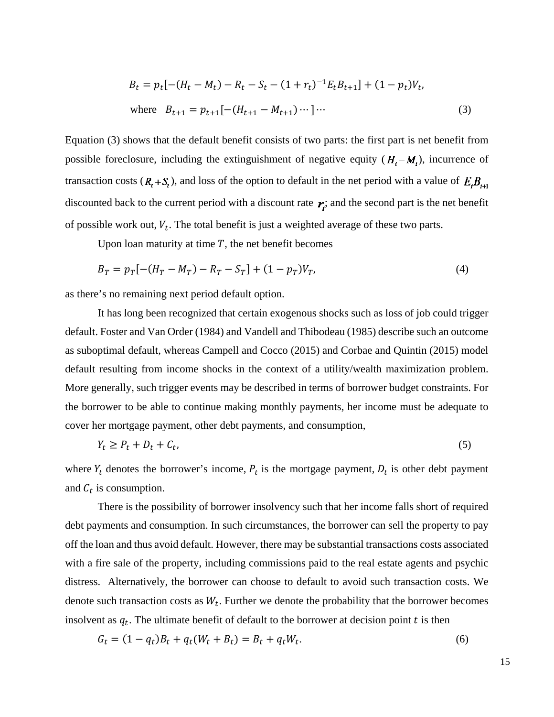$$
B_t = p_t[-(H_t - M_t) - R_t - S_t - (1 + r_t)^{-1}E_t B_{t+1}] + (1 - p_t)V_t,
$$
  
where  $B_{t+1} = p_{t+1}[-(H_{t+1} - M_{t+1})\cdots]\cdots$  (3)

Equation (3) shows that the default benefit consists of two parts: the first part is net benefit from possible foreclosure, including the extinguishment of negative equity  $(H_t - M_t)$ , incurrence of transaction costs  $(R_t + S_t)$ , and loss of the option to default in the net period with a value of  $E_t B_{t+1}$ discounted back to the current period with a discount rate  $r_i$ ; and the second part is the net benefit of possible work out,  $V_t$ . The total benefit is just a weighted average of these two parts.

Upon loan maturity at time  $T$ , the net benefit becomes

$$
B_T = p_T[-(H_T - M_T) - R_T - S_T] + (1 - p_T)V_T,
$$
\n(4)

as there's no remaining next period default option.

It has long been recognized that certain exogenous shocks such as loss of job could trigger default. Foster and Van Order (1984) and Vandell and Thibodeau (1985) describe such an outcome as suboptimal default, whereas Campell and Cocco (2015) and Corbae and Quintin (2015) model default resulting from income shocks in the context of a utility/wealth maximization problem. More generally, such trigger events may be described in terms of borrower budget constraints. For the borrower to be able to continue making monthly payments, her income must be adequate to cover her mortgage payment, other debt payments, and consumption,

$$
Y_t \ge P_t + D_t + C_t,\tag{5}
$$

where  $Y_t$  denotes the borrower's income,  $P_t$  is the mortgage payment,  $D_t$  is other debt payment and  $C_t$  is consumption.

There is the possibility of borrower insolvency such that her income falls short of required debt payments and consumption. In such circumstances, the borrower can sell the property to pay off the loan and thus avoid default. However, there may be substantial transactions costs associated with a fire sale of the property, including commissions paid to the real estate agents and psychic distress. Alternatively, the borrower can choose to default to avoid such transaction costs. We denote such transaction costs as  $W_t$ . Further we denote the probability that the borrower becomes insolvent as  $q_t$ . The ultimate benefit of default to the borrower at decision point  $t$  is then

$$
G_t = (1 - q_t)B_t + q_t(W_t + B_t) = B_t + q_t W_t.
$$
\n(6)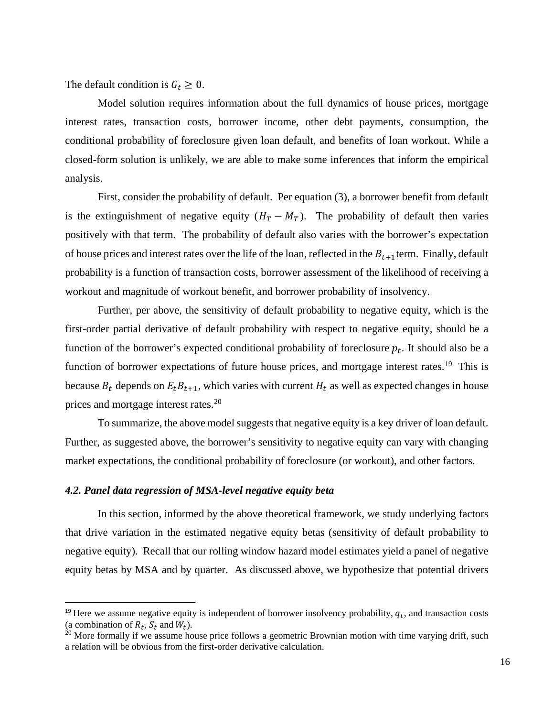The default condition is  $G_t \geq 0$ .

Model solution requires information about the full dynamics of house prices, mortgage interest rates, transaction costs, borrower income, other debt payments, consumption, the conditional probability of foreclosure given loan default, and benefits of loan workout. While a closed-form solution is unlikely, we are able to make some inferences that inform the empirical analysis.

First, consider the probability of default. Per equation (3), a borrower benefit from default is the extinguishment of negative equity  $(H_T - M_T)$ . The probability of default then varies positively with that term. The probability of default also varies with the borrower's expectation of house prices and interest rates over the life of the loan, reflected in the  $B_{t+1}$ term. Finally, default probability is a function of transaction costs, borrower assessment of the likelihood of receiving a workout and magnitude of workout benefit, and borrower probability of insolvency.

Further, per above, the sensitivity of default probability to negative equity, which is the first-order partial derivative of default probability with respect to negative equity, should be a function of the borrower's expected conditional probability of foreclosure  $p_t$ . It should also be a function of borrower expectations of future house prices, and mortgage interest rates.<sup>[19](#page-17-0)</sup> This is because  $B_t$  depends on  $E_t B_{t+1}$ , which varies with current  $H_t$  as well as expected changes in house prices and mortgage interest rates.<sup>[20](#page-17-1)</sup>

To summarize, the above model suggests that negative equity is a key driver of loan default. Further, as suggested above, the borrower's sensitivity to negative equity can vary with changing market expectations, the conditional probability of foreclosure (or workout), and other factors.

### *4.2. Panel data regression of MSA-level negative equity beta*

In this section, informed by the above theoretical framework, we study underlying factors that drive variation in the estimated negative equity betas (sensitivity of default probability to negative equity). Recall that our rolling window hazard model estimates yield a panel of negative equity betas by MSA and by quarter. As discussed above, we hypothesize that potential drivers

<span id="page-17-0"></span><sup>&</sup>lt;sup>19</sup> Here we assume negative equity is independent of borrower insolvency probability,  $q_t$ , and transaction costs (a combination of  $R_t$ ,  $S_t$  and  $W_t$ ).

<span id="page-17-1"></span> $20$  More formally if we assume house price follows a geometric Brownian motion with time varying drift, such a relation will be obvious from the first-order derivative calculation.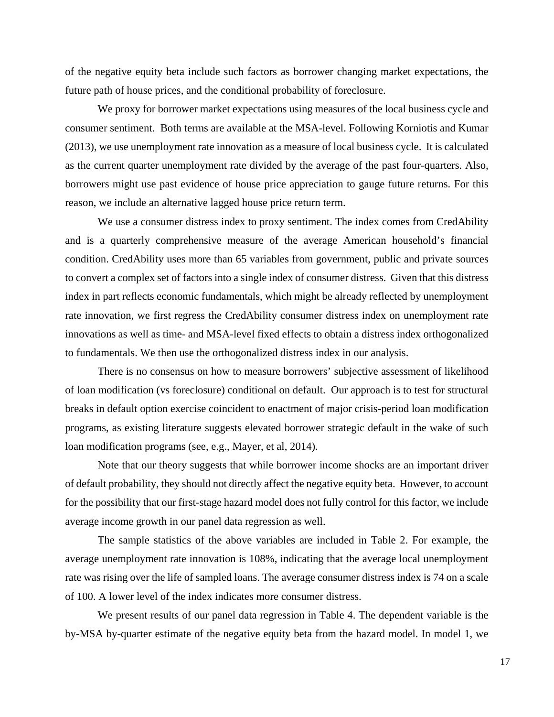of the negative equity beta include such factors as borrower changing market expectations, the future path of house prices, and the conditional probability of foreclosure.

We proxy for borrower market expectations using measures of the local business cycle and consumer sentiment. Both terms are available at the MSA-level. Following Korniotis and Kumar (2013), we use unemployment rate innovation as a measure of local business cycle. It is calculated as the current quarter unemployment rate divided by the average of the past four-quarters. Also, borrowers might use past evidence of house price appreciation to gauge future returns. For this reason, we include an alternative lagged house price return term.

We use a consumer distress index to proxy sentiment. The index comes from CredAbility and is a quarterly comprehensive measure of the average American household's financial condition. CredAbility uses more than 65 variables from government, public and private sources to convert a complex set of factors into a single index of consumer distress. Given that this distress index in part reflects economic fundamentals, which might be already reflected by unemployment rate innovation, we first regress the CredAbility consumer distress index on unemployment rate innovations as well as time- and MSA-level fixed effects to obtain a distress index orthogonalized to fundamentals. We then use the orthogonalized distress index in our analysis.

There is no consensus on how to measure borrowers' subjective assessment of likelihood of loan modification (vs foreclosure) conditional on default. Our approach is to test for structural breaks in default option exercise coincident to enactment of major crisis-period loan modification programs, as existing literature suggests elevated borrower strategic default in the wake of such loan modification programs (see, e.g., Mayer, et al, 2014).

Note that our theory suggests that while borrower income shocks are an important driver of default probability, they should not directly affect the negative equity beta. However, to account for the possibility that our first-stage hazard model does not fully control for this factor, we include average income growth in our panel data regression as well.

The sample statistics of the above variables are included in Table 2. For example, the average unemployment rate innovation is 108%, indicating that the average local unemployment rate was rising over the life of sampled loans. The average consumer distress index is 74 on a scale of 100. A lower level of the index indicates more consumer distress.

We present results of our panel data regression in Table 4. The dependent variable is the by-MSA by-quarter estimate of the negative equity beta from the hazard model. In model 1, we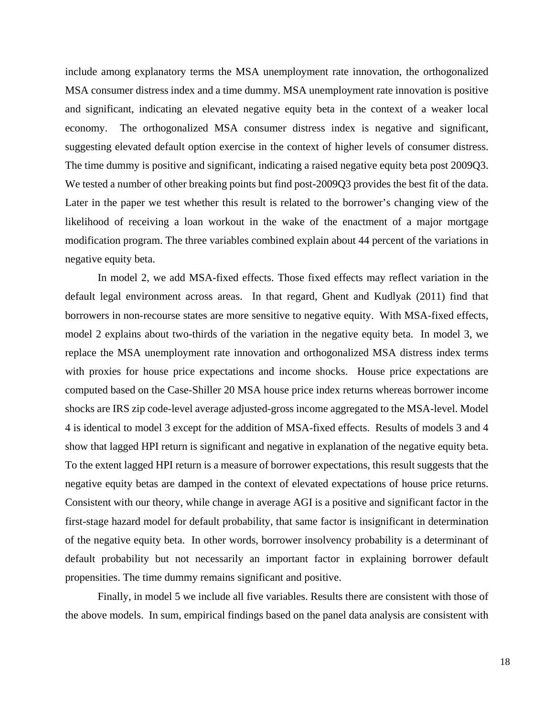include among explanatory terms the MSA unemployment rate innovation, the orthogonalized MSA consumer distress index and a time dummy. MSA unemployment rate innovation is positive and significant, indicating an elevated negative equity beta in the context of a weaker local economy. The orthogonalized MSA consumer distress index is negative and significant, suggesting elevated default option exercise in the context of higher levels of consumer distress. The time dummy is positive and significant, indicating a raised negative equity beta post 2009Q3. We tested a number of other breaking points but find post-2009Q3 provides the best fit of the data. Later in the paper we test whether this result is related to the borrower's changing view of the likelihood of receiving a loan workout in the wake of the enactment of a major mortgage modification program. The three variables combined explain about 44 percent of the variations in negative equity beta.

In model 2, we add MSA-fixed effects. Those fixed effects may reflect variation in the default legal environment across areas. In that regard, Ghent and Kudlyak (2011) find that borrowers in non-recourse states are more sensitive to negative equity. With MSA-fixed effects, model 2 explains about two-thirds of the variation in the negative equity beta. In model 3, we replace the MSA unemployment rate innovation and orthogonalized MSA distress index terms with proxies for house price expectations and income shocks. House price expectations are computed based on the Case-Shiller 20 MSA house price index returns whereas borrower income shocks are IRS zip code-level average adjusted-gross income aggregated to the MSA-level. Model 4 is identical to model 3 except for the addition of MSA-fixed effects. Results of models 3 and 4 show that lagged HPI return is significant and negative in explanation of the negative equity beta. To the extent lagged HPI return is a measure of borrower expectations, this result suggests that the negative equity betas are damped in the context of elevated expectations of house price returns. Consistent with our theory, while change in average AGI is a positive and significant factor in the first-stage hazard model for default probability, that same factor is insignificant in determination of the negative equity beta. In other words, borrower insolvency probability is a determinant of default probability but not necessarily an important factor in explaining borrower default propensities. The time dummy remains significant and positive.

Finally, in model 5 we include all five variables. Results there are consistent with those of the above models. In sum, empirical findings based on the panel data analysis are consistent with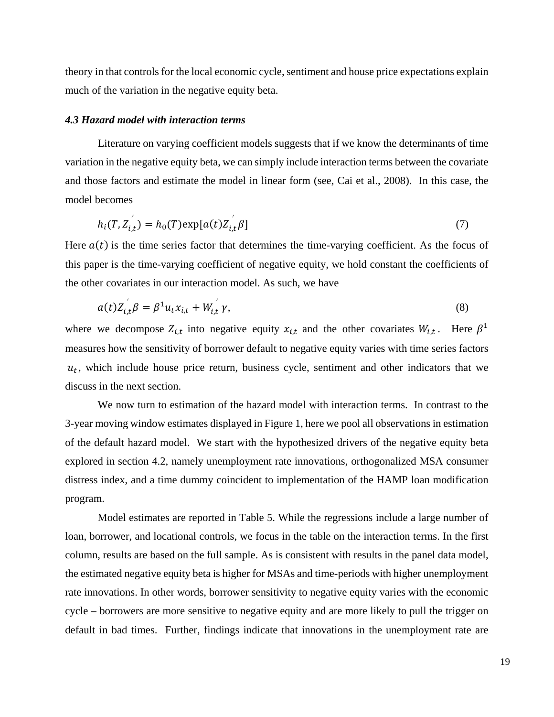theory in that controls for the local economic cycle, sentiment and house price expectations explain much of the variation in the negative equity beta.

### *4.3 Hazard model with interaction terms*

′

Literature on varying coefficient models suggests that if we know the determinants of time variation in the negative equity beta, we can simply include interaction terms between the covariate and those factors and estimate the model in linear form (see, Cai et al., 2008). In this case, the model becomes

$$
h_i(T, Z_{i,t}^{'}) = h_0(T) \exp[a(t)Z_{i,t}^{'} \beta]
$$
\n
$$
(7)
$$

Here  $a(t)$  is the time series factor that determines the time-varying coefficient. As the focus of this paper is the time-varying coefficient of negative equity, we hold constant the coefficients of the other covariates in our interaction model. As such, we have

′

$$
a(t)Z_{i,t}\beta = \beta^1 u_t x_{i,t} + W_{i,t} \gamma, \qquad (8)
$$

where we decompose  $Z_{i,t}$  into negative equity  $x_{i,t}$  and the other covariates  $W_{i,t}$ . Here  $\beta^1$ measures how the sensitivity of borrower default to negative equity varies with time series factors  $u_t$ , which include house price return, business cycle, sentiment and other indicators that we discuss in the next section.

We now turn to estimation of the hazard model with interaction terms. In contrast to the 3-year moving window estimates displayed in Figure 1, here we pool all observations in estimation of the default hazard model. We start with the hypothesized drivers of the negative equity beta explored in section 4.2, namely unemployment rate innovations, orthogonalized MSA consumer distress index, and a time dummy coincident to implementation of the HAMP loan modification program.

Model estimates are reported in Table 5. While the regressions include a large number of loan, borrower, and locational controls, we focus in the table on the interaction terms. In the first column, results are based on the full sample. As is consistent with results in the panel data model, the estimated negative equity beta is higher for MSAs and time-periods with higher unemployment rate innovations. In other words, borrower sensitivity to negative equity varies with the economic cycle – borrowers are more sensitive to negative equity and are more likely to pull the trigger on default in bad times. Further, findings indicate that innovations in the unemployment rate are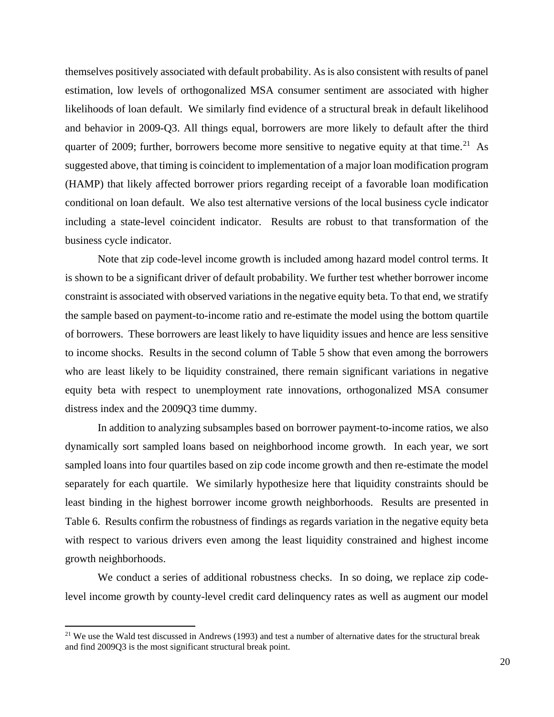themselves positively associated with default probability. As is also consistent with results of panel estimation, low levels of orthogonalized MSA consumer sentiment are associated with higher likelihoods of loan default. We similarly find evidence of a structural break in default likelihood and behavior in 2009-Q3. All things equal, borrowers are more likely to default after the third quarter of 2009; further, borrowers become more sensitive to negative equity at that time.<sup>21</sup> As suggested above, that timing is coincident to implementation of a major loan modification program (HAMP) that likely affected borrower priors regarding receipt of a favorable loan modification conditional on loan default. We also test alternative versions of the local business cycle indicator including a state-level coincident indicator. Results are robust to that transformation of the business cycle indicator.

Note that zip code-level income growth is included among hazard model control terms. It is shown to be a significant driver of default probability. We further test whether borrower income constraint is associated with observed variations in the negative equity beta. To that end, we stratify the sample based on payment-to-income ratio and re-estimate the model using the bottom quartile of borrowers. These borrowers are least likely to have liquidity issues and hence are less sensitive to income shocks. Results in the second column of Table 5 show that even among the borrowers who are least likely to be liquidity constrained, there remain significant variations in negative equity beta with respect to unemployment rate innovations, orthogonalized MSA consumer distress index and the 2009Q3 time dummy.

In addition to analyzing subsamples based on borrower payment-to-income ratios, we also dynamically sort sampled loans based on neighborhood income growth. In each year, we sort sampled loans into four quartiles based on zip code income growth and then re-estimate the model separately for each quartile. We similarly hypothesize here that liquidity constraints should be least binding in the highest borrower income growth neighborhoods. Results are presented in Table 6. Results confirm the robustness of findings as regards variation in the negative equity beta with respect to various drivers even among the least liquidity constrained and highest income growth neighborhoods.

We conduct a series of additional robustness checks. In so doing, we replace zip codelevel income growth by county-level credit card delinquency rates as well as augment our model

 $\overline{\phantom{a}}$ 

<span id="page-21-0"></span> $21$  We use the Wald test discussed in Andrews (1993) and test a number of alternative dates for the structural break and find 2009Q3 is the most significant structural break point.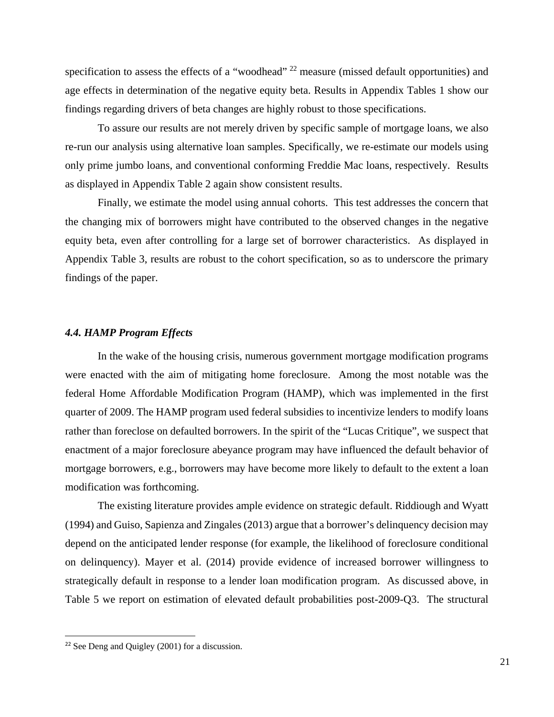specification to assess the effects of a "woodhead" <sup>[22](#page-22-0)</sup> measure (missed default opportunities) and age effects in determination of the negative equity beta. Results in Appendix Tables 1 show our findings regarding drivers of beta changes are highly robust to those specifications.

To assure our results are not merely driven by specific sample of mortgage loans, we also re-run our analysis using alternative loan samples. Specifically, we re-estimate our models using only prime jumbo loans, and conventional conforming Freddie Mac loans, respectively. Results as displayed in Appendix Table 2 again show consistent results.

Finally, we estimate the model using annual cohorts. This test addresses the concern that the changing mix of borrowers might have contributed to the observed changes in the negative equity beta, even after controlling for a large set of borrower characteristics. As displayed in Appendix Table 3, results are robust to the cohort specification, so as to underscore the primary findings of the paper.

### *4.4. HAMP Program Effects*

In the wake of the housing crisis, numerous government mortgage modification programs were enacted with the aim of mitigating home foreclosure. Among the most notable was the federal Home Affordable Modification Program (HAMP), which was implemented in the first quarter of 2009. The HAMP program used federal subsidies to incentivize lenders to modify loans rather than foreclose on defaulted borrowers. In the spirit of the "Lucas Critique", we suspect that enactment of a major foreclosure abeyance program may have influenced the default behavior of mortgage borrowers, e.g., borrowers may have become more likely to default to the extent a loan modification was forthcoming.

The existing literature provides ample evidence on strategic default. Riddiough and Wyatt (1994) and Guiso, Sapienza and Zingales (2013) argue that a borrower's delinquency decision may depend on the anticipated lender response (for example, the likelihood of foreclosure conditional on delinquency). Mayer et al. (2014) provide evidence of increased borrower willingness to strategically default in response to a lender loan modification program. As discussed above, in Table 5 we report on estimation of elevated default probabilities post-2009-Q3. The structural

<span id="page-22-0"></span> <sup>22</sup> See Deng and Quigley (2001) for a discussion.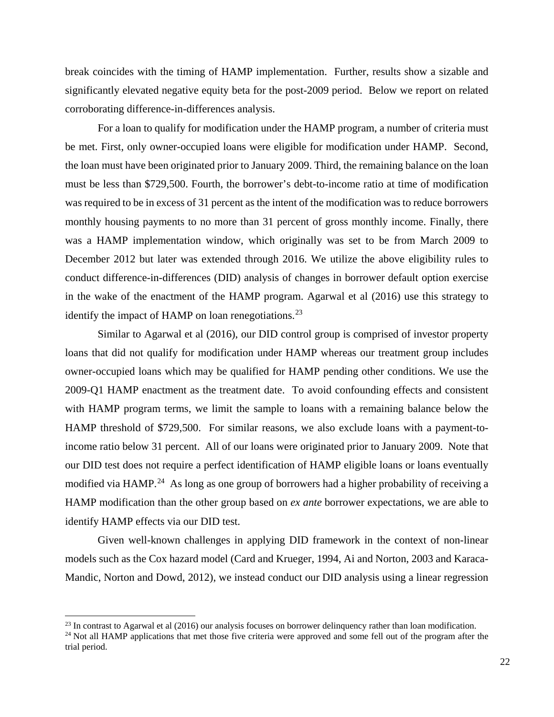break coincides with the timing of HAMP implementation. Further, results show a sizable and significantly elevated negative equity beta for the post-2009 period. Below we report on related corroborating difference-in-differences analysis.

For a loan to qualify for modification under the HAMP program, a number of criteria must be met. First, only owner-occupied loans were eligible for modification under HAMP. Second, the loan must have been originated prior to January 2009. Third, the remaining balance on the loan must be less than \$729,500. Fourth, the borrower's debt-to-income ratio at time of modification was required to be in excess of 31 percent as the intent of the modification was to reduce borrowers monthly housing payments to no more than 31 percent of gross monthly income. Finally, there was a HAMP implementation window, which originally was set to be from March 2009 to December 2012 but later was extended through 2016. We utilize the above eligibility rules to conduct difference-in-differences (DID) analysis of changes in borrower default option exercise in the wake of the enactment of the HAMP program. Agarwal et al (2016) use this strategy to identify the impact of HAMP on loan renegotiations.<sup>[23](#page-23-0)</sup>

Similar to Agarwal et al (2016), our DID control group is comprised of investor property loans that did not qualify for modification under HAMP whereas our treatment group includes owner-occupied loans which may be qualified for HAMP pending other conditions. We use the 2009-Q1 HAMP enactment as the treatment date. To avoid confounding effects and consistent with HAMP program terms, we limit the sample to loans with a remaining balance below the HAMP threshold of \$729,500. For similar reasons, we also exclude loans with a payment-toincome ratio below 31 percent. All of our loans were originated prior to January 2009. Note that our DID test does not require a perfect identification of HAMP eligible loans or loans eventually modified via HAMP.<sup>[24](#page-23-1)</sup> As long as one group of borrowers had a higher probability of receiving a HAMP modification than the other group based on *ex ante* borrower expectations, we are able to identify HAMP effects via our DID test.

Given well-known challenges in applying DID framework in the context of non-linear models such as the Cox hazard model (Card and Krueger, 1994, Ai and Norton, 2003 and Karaca-Mandic, Norton and Dowd, 2012), we instead conduct our DID analysis using a linear regression

 $\overline{a}$ 

<span id="page-23-1"></span><span id="page-23-0"></span> $^{23}$  In contrast to Agarwal et al (2016) our analysis focuses on borrower delinquency rather than loan modification.<br><sup>24</sup> Not all HAMP applications that met those five criteria were approved and some fell out of the pro trial period.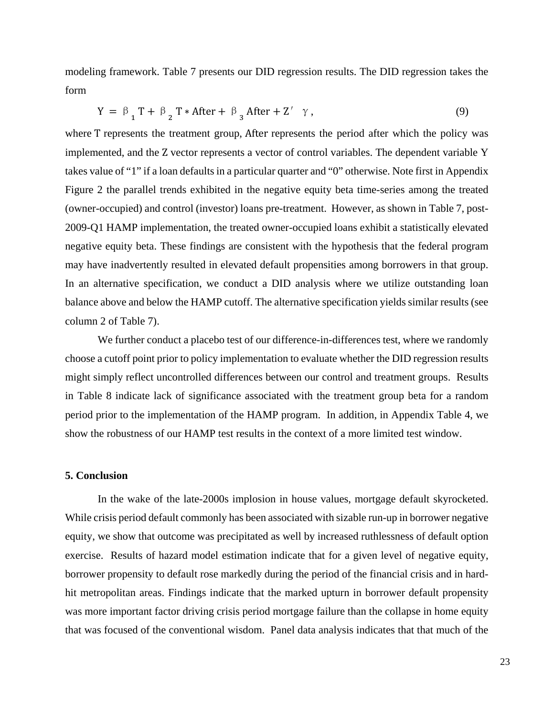modeling framework. Table 7 presents our DID regression results. The DID regression takes the form

$$
Y = \beta_{1} T + \beta_{2} T * After + \beta_{3} After + Z' \gamma,
$$
\n(9)

where T represents the treatment group, After represents the period after which the policy was implemented, and the Z vector represents a vector of control variables. The dependent variable Y takes value of "1" if a loan defaults in a particular quarter and "0" otherwise. Note first in Appendix Figure 2 the parallel trends exhibited in the negative equity beta time-series among the treated (owner-occupied) and control (investor) loans pre-treatment. However, as shown in Table 7, post-2009-Q1 HAMP implementation, the treated owner-occupied loans exhibit a statistically elevated negative equity beta. These findings are consistent with the hypothesis that the federal program may have inadvertently resulted in elevated default propensities among borrowers in that group. In an alternative specification, we conduct a DID analysis where we utilize outstanding loan balance above and below the HAMP cutoff. The alternative specification yields similar results (see column 2 of Table 7).

We further conduct a placebo test of our difference-in-differences test, where we randomly choose a cutoff point prior to policy implementation to evaluate whether the DID regression results might simply reflect uncontrolled differences between our control and treatment groups. Results in Table 8 indicate lack of significance associated with the treatment group beta for a random period prior to the implementation of the HAMP program. In addition, in Appendix Table 4, we show the robustness of our HAMP test results in the context of a more limited test window.

#### **5. Conclusion**

In the wake of the late-2000s implosion in house values, mortgage default skyrocketed. While crisis period default commonly has been associated with sizable run-up in borrower negative equity, we show that outcome was precipitated as well by increased ruthlessness of default option exercise. Results of hazard model estimation indicate that for a given level of negative equity, borrower propensity to default rose markedly during the period of the financial crisis and in hardhit metropolitan areas. Findings indicate that the marked upturn in borrower default propensity was more important factor driving crisis period mortgage failure than the collapse in home equity that was focused of the conventional wisdom. Panel data analysis indicates that that much of the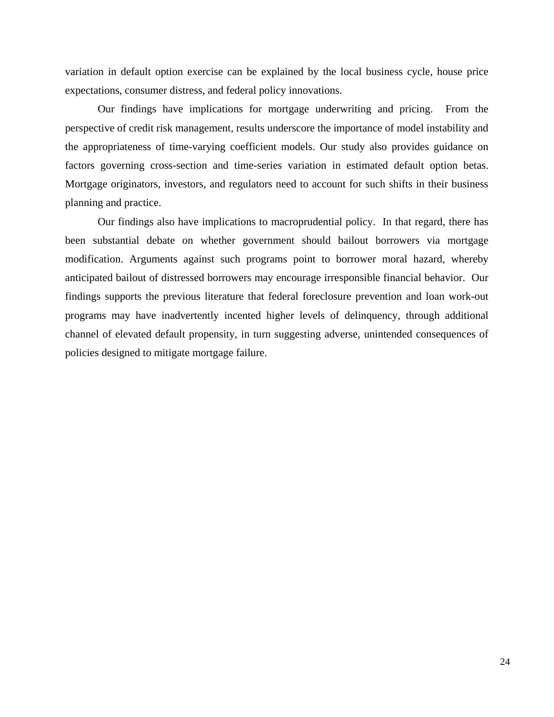variation in default option exercise can be explained by the local business cycle, house price expectations, consumer distress, and federal policy innovations.

Our findings have implications for mortgage underwriting and pricing. From the perspective of credit risk management, results underscore the importance of model instability and the appropriateness of time-varying coefficient models. Our study also provides guidance on factors governing cross-section and time-series variation in estimated default option betas. Mortgage originators, investors, and regulators need to account for such shifts in their business planning and practice.

Our findings also have implications to macroprudential policy. In that regard, there has been substantial debate on whether government should bailout borrowers via mortgage modification. Arguments against such programs point to borrower moral hazard, whereby anticipated bailout of distressed borrowers may encourage irresponsible financial behavior. Our findings supports the previous literature that federal foreclosure prevention and loan work-out programs may have inadvertently incented higher levels of delinquency, through additional channel of elevated default propensity, in turn suggesting adverse, unintended consequences of policies designed to mitigate mortgage failure.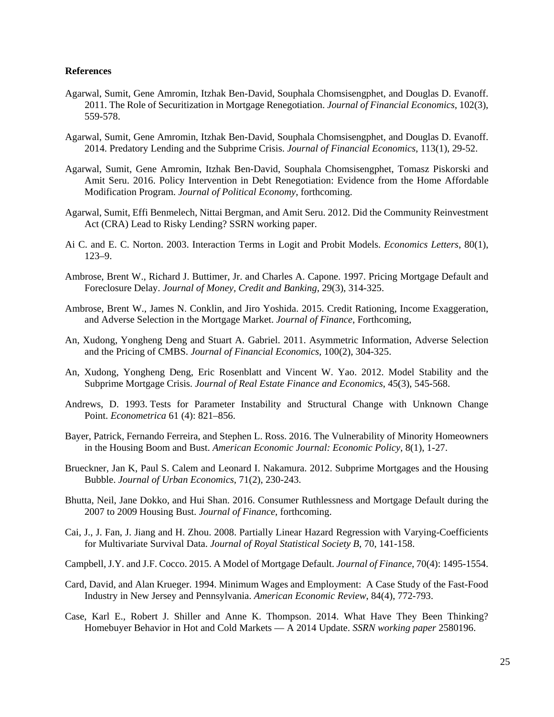#### **References**

- Agarwal, Sumit, Gene Amromin, Itzhak Ben-David, Souphala Chomsisengphet, and Douglas D. Evanoff. 2011. The Role of Securitization in Mortgage Renegotiation. *Journal of Financial Economics*, 102(3), 559-578.
- Agarwal, Sumit, Gene Amromin, Itzhak Ben-David, Souphala Chomsisengphet, and Douglas D. Evanoff. 2014. Predatory Lending and the Subprime Crisis. *Journal of Financial Economics*, 113(1), 29-52.
- Agarwal, Sumit, Gene Amromin, Itzhak Ben-David, Souphala Chomsisengphet, Tomasz Piskorski and Amit Seru. 2016. Policy Intervention in Debt Renegotiation: Evidence from the Home Affordable Modification Program. *Journal of Political Economy*, forthcoming.
- Agarwal, Sumit, Effi Benmelech, Nittai Bergman, and Amit Seru. 2012. Did the Community Reinvestment Act (CRA) Lead to Risky Lending? SSRN working paper.
- Ai C. and E. C. Norton. 2003. Interaction Terms in Logit and Probit Models. *Economics Letters*, 80(1), 123–9.
- Ambrose, Brent W., Richard J. Buttimer, Jr. and Charles A. Capone. 1997. Pricing Mortgage Default and Foreclosure Delay. *Journal of Money, Credit and Banking*, 29(3), 314-325.
- Ambrose, Brent W., James N. Conklin, and Jiro Yoshida. 2015. Credit Rationing, Income Exaggeration, and Adverse Selection in the Mortgage Market. *Journal of Finance*, Forthcoming,
- An, Xudong, Yongheng Deng and Stuart A. Gabriel. 2011. Asymmetric Information, Adverse Selection and the Pricing of CMBS. *Journal of Financial Economics*, 100(2), 304-325.
- An, Xudong, Yongheng Deng, Eric Rosenblatt and Vincent W. Yao. 2012. Model Stability and the Subprime Mortgage Crisis. *Journal of Real Estate Finance and Economics*, 45(3), 545-568.
- Andrews, D. 1993. Tests for Parameter Instability and Structural Change with Unknown Change Point. *Econometrica* 61 (4): 821–856.
- Bayer, Patrick, Fernando Ferreira, and Stephen L. Ross. 2016. The Vulnerability of Minority Homeowners in the Housing Boom and Bust. *American Economic Journal: Economic Policy*, 8(1), 1-27.
- Brueckner, Jan K, Paul S. Calem and Leonard I. Nakamura. 2012. Subprime Mortgages and the Housing Bubble. *Journal of Urban Economics*, 71(2), 230-243.
- Bhutta, Neil, Jane Dokko, and Hui Shan. 2016. Consumer Ruthlessness and Mortgage Default during the 2007 to 2009 Housing Bust. *Journal of Finance*, forthcoming.
- Cai, J., J. Fan, J. Jiang and H. Zhou. 2008. Partially Linear Hazard Regression with Varying-Coefficients for Multivariate Survival Data. *Journal of Royal Statistical Society B*, 70, 141-158.
- Campbell, J.Y. and J.F. Cocco. 2015. A Model of Mortgage Default. *Journal of Finance*, 70(4): 1495-1554.
- Card, David, and Alan Krueger. 1994. Minimum Wages and Employment: A Case Study of the Fast-Food Industry in New Jersey and Pennsylvania. *American Economic Review*, 84(4), 772-793.
- Case, Karl E., Robert J. Shiller and Anne K. Thompson. 2014. What Have They Been Thinking? Homebuyer Behavior in Hot and Cold Markets — A 2014 Update. *SSRN working paper* 2580196.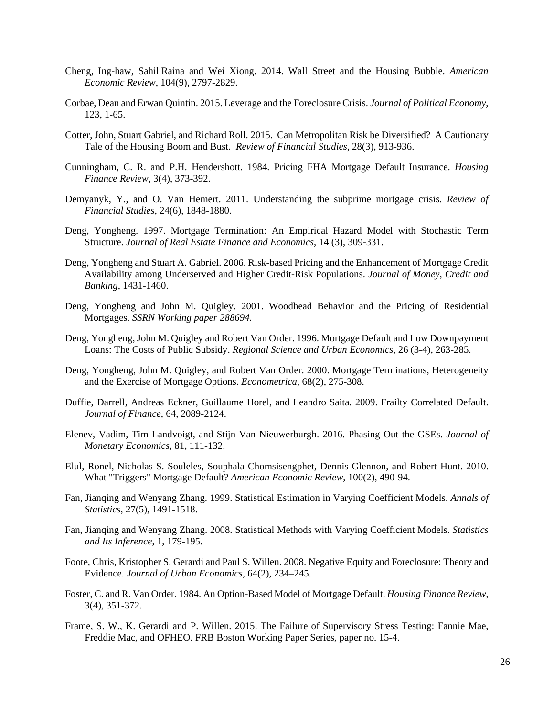- Cheng, Ing-haw, Sahil Raina and Wei Xiong. 2014. Wall Street and the Housing Bubble. *American Economic Review*, 104(9), 2797-2829.
- Corbae, Dean and Erwan Quintin. 2015. Leverage and the Foreclosure Crisis. *Journal of Political Economy*, 123, 1-65.
- Cotter, John, Stuart Gabriel, and Richard Roll. 2015. Can Metropolitan Risk be Diversified? A Cautionary Tale of the Housing Boom and Bust. *Review of Financial Studies*, 28(3), 913-936.
- Cunningham, C. R. and P.H. Hendershott. 1984. Pricing FHA Mortgage Default Insurance. *Housing Finance Review*, 3(4), 373-392.
- Demyanyk, Y., and O. Van Hemert. 2011. Understanding the subprime mortgage crisis. *Review of Financial Studies*, 24(6), 1848-1880.
- Deng, Yongheng. 1997. Mortgage Termination: An Empirical Hazard Model with Stochastic Term Structure. *Journal of Real Estate Finance and Economics*, 14 (3), 309-331.
- Deng, Yongheng and Stuart A. Gabriel. 2006. Risk-based Pricing and the Enhancement of Mortgage Credit Availability among Underserved and Higher Credit-Risk Populations. *Journal of Money, Credit and Banking*, 1431-1460.
- Deng, Yongheng and John M. Quigley. 2001. Woodhead Behavior and the Pricing of Residential Mortgages. *SSRN Working paper 288694.*
- Deng, Yongheng, John M. Quigley and Robert Van Order. 1996. Mortgage Default and Low Downpayment Loans: The Costs of Public Subsidy. *Regional Science and Urban Economics*, 26 (3-4), 263-285.
- Deng, Yongheng, John M. Quigley, and Robert Van Order. 2000. [Mortgage Terminations, Heterogeneity](http://urbanpolicy.berkeley.edu/pdf/DQV_2000PB.pdf)  [and the Exercise of Mortgage Options.](http://urbanpolicy.berkeley.edu/pdf/DQV_2000PB.pdf) *Econometrica*, 68(2), 275-308.
- Duffie, Darrell, Andreas Eckner, Guillaume Horel, and Leandro Saita. 2009. Frailty Correlated Default. *Journal of Finance*, 64, 2089-2124.
- Elenev, Vadim, Tim Landvoigt, and Stijn Van Nieuwerburgh. 2016. Phasing Out the GSEs. *Journal of Monetary Economics*, 81, 111-132.
- Elul, Ronel, Nicholas S. Souleles, Souphala Chomsisengphet, Dennis Glennon, and Robert Hunt. 2010. What "Triggers" Mortgage Default? *American Economic Review*, 100(2), 490-94.
- Fan, Jianqing and Wenyang Zhang. 1999. Statistical Estimation in Varying Coefficient Models. *Annals of Statistics*, 27(5), 1491-1518.
- Fan, Jianqing and Wenyang Zhang. 2008. Statistical Methods with Varying Coefficient Models. *Statistics and Its Inference*, 1, 179-195.
- Foote, Chris, Kristopher S. Gerardi and Paul S. Willen. 2008. Negative Equity and Foreclosure: Theory and Evidence. *Journal of Urban Economics*, 64(2), 234–245.
- Foster, C. and R. Van Order. 1984. An Option-Based Model of Mortgage Default. *Housing Finance Review*, 3(4), 351-372.
- Frame, S. W., K. Gerardi and P. Willen. 2015. The Failure of Supervisory Stress Testing: Fannie Mae, Freddie Mac, and OFHEO. FRB Boston Working Paper Series, paper no. 15-4.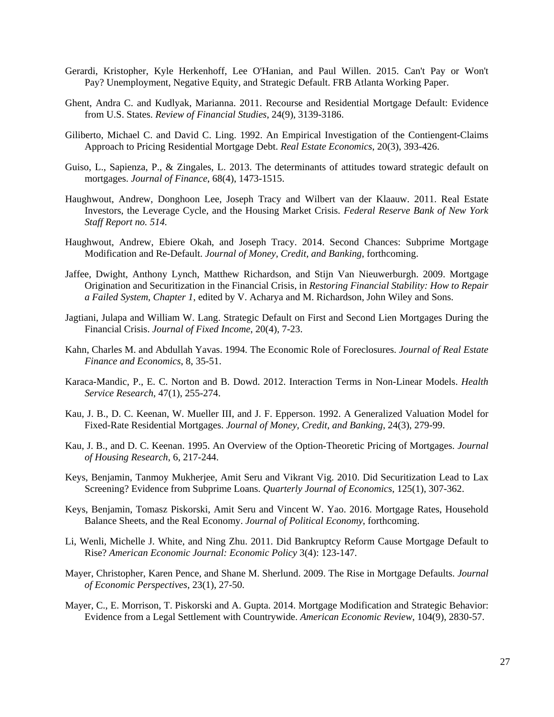- Gerardi, Kristopher, Kyle Herkenhoff, Lee O'Hanian, and Paul Willen. 2015. [Can't Pay or Won't](https://sites.google.com/site/kristophergerardishomepage/Home/PSID_Default_12_2016.pdf?attredirects=0)  Pay? [Unemployment, Negative Equity, and Strategic Default.](https://sites.google.com/site/kristophergerardishomepage/Home/PSID_Default_12_2016.pdf?attredirects=0) FRB Atlanta Working Paper.
- Ghent, Andra C. and Kudlyak, Marianna. 2011. Recourse and Residential Mortgage Default: Evidence from U.S. States. *Review of Financial Studies*, 24(9), 3139-3186.
- Giliberto, Michael C. and David C. Ling. 1992. An Empirical Investigation of the Contiengent-Claims Approach to Pricing Residential Mortgage Debt. *Real Estate Economics*, 20(3), 393-426.
- Guiso, L., Sapienza, P., & Zingales, L. 2013. The determinants of attitudes toward strategic default on mortgages. *Journal of Finance*, 68(4), 1473-1515.
- Haughwout, Andrew, Donghoon Lee, Joseph Tracy and Wilbert van der Klaauw. 2011. Real Estate Investors, the Leverage Cycle, and the Housing Market Crisis. *Federal Reserve Bank of New York Staff Report no. 514.*
- Haughwout, Andrew, Ebiere Okah, and Joseph Tracy. 2014. Second Chances: Subprime Mortgage Modification and Re-Default. *Journal of Money, Credit, and Banking*, forthcoming.
- Jaffee, Dwight, Anthony Lynch, Matthew Richardson, and Stijn Van Nieuwerburgh. 2009. Mortgage Origination and Securitization in the Financial Crisis, in *Restoring Financial Stability: How to Repair a Failed System*, *Chapter 1*, edited by V. Acharya and M. Richardson, John Wiley and Sons.
- Jagtiani, Julapa and William W. Lang. Strategic Default on First and Second Lien Mortgages During the Financial Crisis. *Journal of Fixed Income*, 20(4), 7-23.
- Kahn, Charles M. and Abdullah Yavas. 1994. The Economic Role of Foreclosures. *Journal of Real Estate Finance and Economics*, 8, 35-51.
- Karaca-Mandic, P., E. C. Norton and B. Dowd. 2012. Interaction Terms in Non-Linear Models. *Health Service Research*, 47(1), 255-274.
- Kau, J. B., D. C. Keenan, W. Mueller III, and J. F. Epperson. 1992. A Generalized Valuation Model for Fixed-Rate Residential Mortgages. *Journal of Money, Credit, and Banking*, 24(3), 279-99.
- Kau, J. B., and D. C. Keenan. 1995. An Overview of the Option-Theoretic Pricing of Mortgages. *Journal of Housing Research*, 6, 217-244.
- Keys, Benjamin, Tanmoy Mukherjee, Amit Seru and Vikrant Vig. 2010. Did Securitization Lead to Lax Screening? Evidence from Subprime Loans. *Quarterly Journal of Economics*, 125(1), 307-362.
- Keys, Benjamin, Tomasz Piskorski, Amit Seru and Vincent W. Yao. 2016. Mortgage Rates, Household Balance Sheets, and the Real Economy. *Journal of Political Economy*, forthcoming.
- Li, Wenli, Michelle J. White, and Ning Zhu. 2011. Did Bankruptcy Reform Cause Mortgage Default to Rise? *American Economic Journal: Economic Policy* 3(4): 123-147.
- Mayer, Christopher, Karen Pence, and Shane M. Sherlund. 2009. The Rise in Mortgage Defaults. *Journal of Economic Perspectives*, 23(1), 27-50.
- Mayer, C., E. Morrison, T. Piskorski and A. Gupta. 2014. Mortgage Modification and Strategic Behavior: Evidence from a Legal Settlement with Countrywide. *American Economic Review*, 104(9), 2830-57.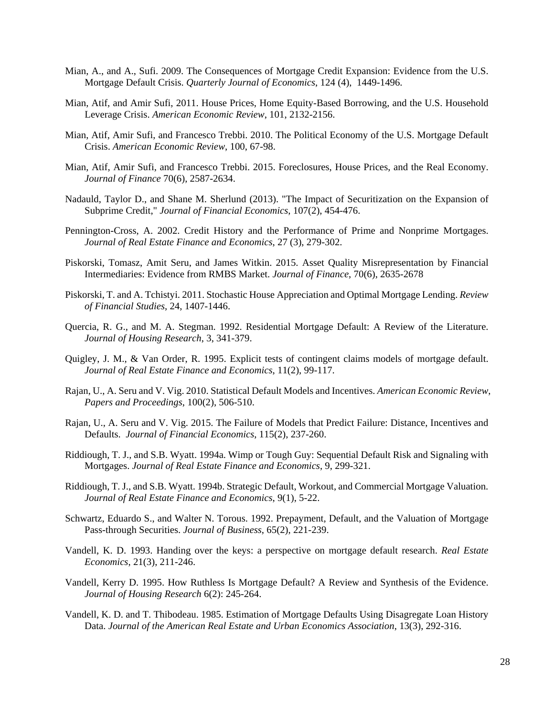- Mian, A., and A., Sufi. 2009. The Consequences of Mortgage Credit Expansion: Evidence from the U.S. Mortgage Default Crisis. *Quarterly Journal of Economics*, 124 (4), 1449-1496.
- Mian, Atif, and Amir Sufi, 2011. House Prices, Home Equity-Based Borrowing, and the U.S. Household Leverage Crisis. *American Economic Review*, 101, 2132-2156.
- Mian, Atif, Amir Sufi, and Francesco Trebbi. 2010. The Political Economy of the U.S. Mortgage Default Crisis. *American Economic Review*, 100, 67-98.
- Mian, Atif, Amir Sufi, and Francesco Trebbi. 2015. Foreclosures, House Prices, and the Real Economy. *Journal of Finance* 70(6), 2587-2634.
- Nadauld, Taylor D., and Shane M. Sherlund (2013). "The Impact of Securitization on the Expansion of Subprime Credit," *Journal of Financial Economics*, 107(2), 454-476.
- Pennington-Cross, A. 2002. Credit History and the Performance of Prime and Nonprime Mortgages. *Journal of Real Estate Finance and Economics*, 27 (3), 279-302.
- Piskorski, Tomasz, Amit Seru, and James Witkin. 2015. Asset Quality Misrepresentation by Financial Intermediaries: Evidence from RMBS Market. *Journal of Finance*, 70(6), 2635-2678
- Piskorski, T. and A. Tchistyi. 2011. Stochastic House Appreciation and Optimal Mortgage Lending. *Review of Financial Studies*, 24, 1407-1446.
- Quercia, R. G., and M. A. Stegman. 1992. Residential Mortgage Default: A Review of the Literature. *Journal of Housing Research*, 3, 341-379.
- Quigley, J. M., & Van Order, R. 1995. Explicit tests of contingent claims models of mortgage default. *Journal of Real Estate Finance and Economics*, 11(2), 99-117.
- Rajan, U., A. Seru and V. Vig. 2010. Statistical Default Models and Incentives. *American Economic Review*, *Papers and Proceedings*, 100(2), 506-510.
- Rajan, U., A. Seru and V. Vig. 2015. The Failure of Models that Predict Failure: Distance, Incentives and Defaults. *Journal of Financial Economics*, 115(2), 237-260.
- Riddiough, T. J., and S.B. Wyatt. 1994a. Wimp or Tough Guy: Sequential Default Risk and Signaling with Mortgages. *Journal of Real Estate Finance and Economics*, 9, 299-321.
- Riddiough, T. J., and S.B. Wyatt. 1994b. Strategic Default, Workout, and Commercial Mortgage Valuation. *Journal of Real Estate Finance and Economics*, 9(1), 5-22.
- Schwartz, Eduardo S., and Walter N. Torous. 1992. Prepayment, Default, and the Valuation of Mortgage Pass-through Securities. *Journal of Business*, 65(2), 221-239.
- Vandell, K. D. 1993. Handing over the keys: a perspective on mortgage default research. *Real Estate Economics*, 21(3), 211-246.
- Vandell, Kerry D. 1995. How Ruthless Is Mortgage Default? A Review and Synthesis of the Evidence. *Journal of Housing Research* 6(2): 245-264.
- Vandell, K. D. and T. Thibodeau. 1985. Estimation of Mortgage Defaults Using Disagregate Loan History Data. *Journal of the American Real Estate and Urban Economics Association*, 13(3), 292-316.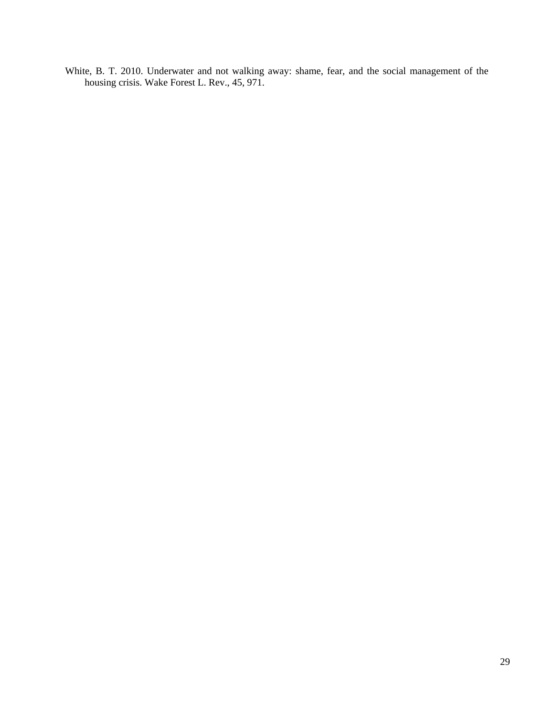White, B. T. 2010. Underwater and not walking away: shame, fear, and the social management of the housing crisis. Wake Forest L. Rev., 45, 971.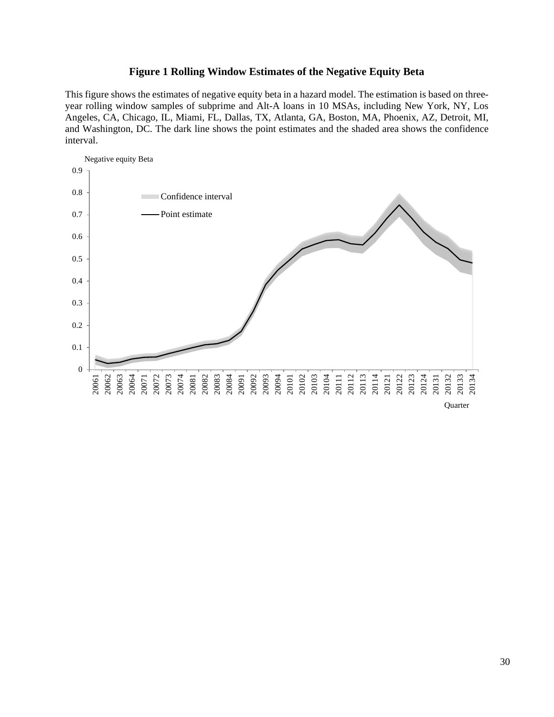### **Figure 1 Rolling Window Estimates of the Negative Equity Beta**

This figure shows the estimates of negative equity beta in a hazard model. The estimation is based on threeyear rolling window samples of subprime and Alt-A loans in 10 MSAs, including New York, NY, Los Angeles, CA, Chicago, IL, Miami, FL, Dallas, TX, Atlanta, GA, Boston, MA, Phoenix, AZ, Detroit, MI, and Washington, DC. The dark line shows the point estimates and the shaded area shows the confidence interval.

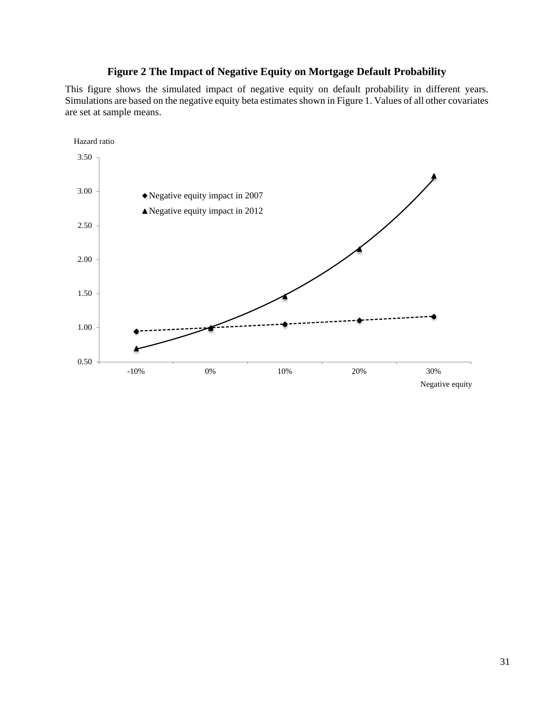## **Figure 2 The Impact of Negative Equity on Mortgage Default Probability**

This figure shows the simulated impact of negative equity on default probability in different years. Simulations are based on the negative equity beta estimates shown in Figure 1. Values of all other covariates are set at sample means.

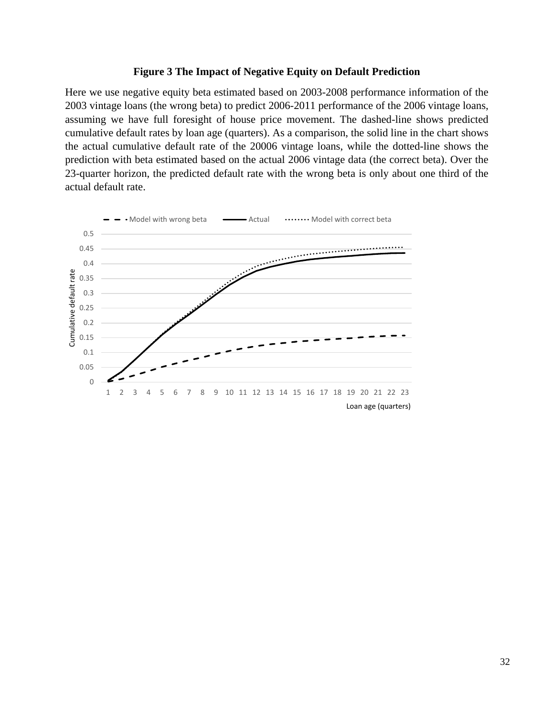### **Figure 3 The Impact of Negative Equity on Default Prediction**

Here we use negative equity beta estimated based on 2003-2008 performance information of the 2003 vintage loans (the wrong beta) to predict 2006-2011 performance of the 2006 vintage loans, assuming we have full foresight of house price movement. The dashed-line shows predicted cumulative default rates by loan age (quarters). As a comparison, the solid line in the chart shows the actual cumulative default rate of the 20006 vintage loans, while the dotted-line shows the prediction with beta estimated based on the actual 2006 vintage data (the correct beta). Over the 23-quarter horizon, the predicted default rate with the wrong beta is only about one third of the actual default rate.

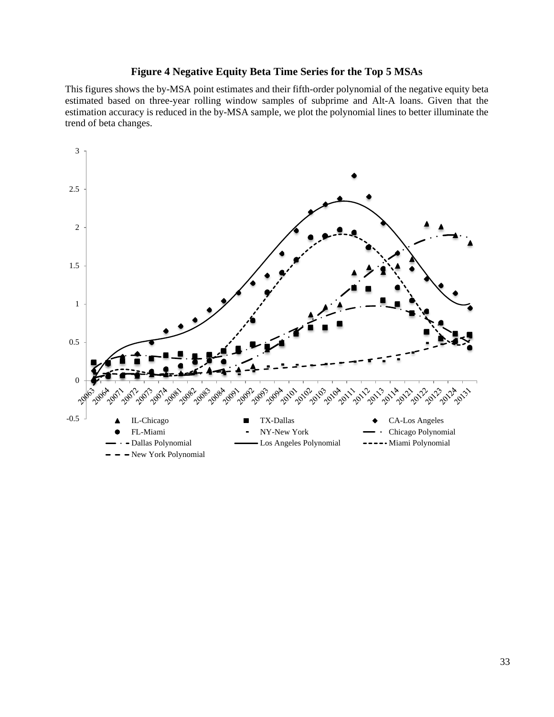### **Figure 4 Negative Equity Beta Time Series for the Top 5 MSAs**

This figures shows the by-MSA point estimates and their fifth-order polynomial of the negative equity beta estimated based on three-year rolling window samples of subprime and Alt-A loans. Given that the estimation accuracy is reduced in the by-MSA sample, we plot the polynomial lines to better illuminate the trend of beta changes.

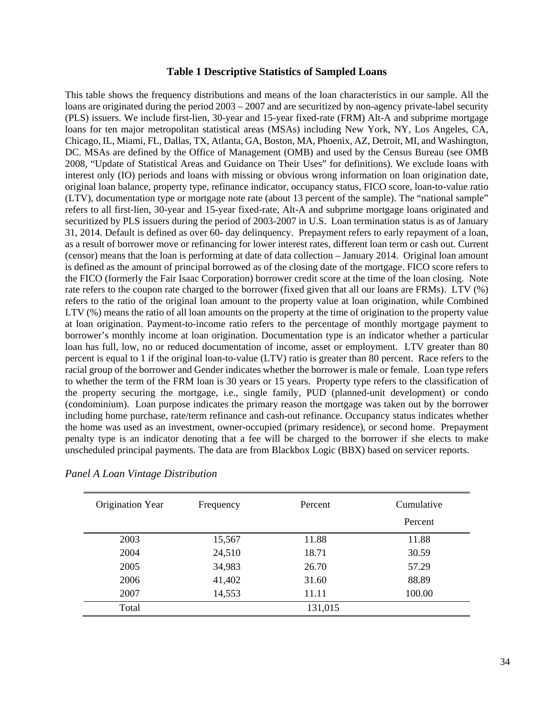### **Table 1 Descriptive Statistics of Sampled Loans**

This table shows the frequency distributions and means of the loan characteristics in our sample. All the loans are originated during the period  $2003 - 2007$  and are securitized by non-agency private-label security (PLS) issuers. We include first-lien, 30-year and 15-year fixed-rate (FRM) Alt-A and subprime mortgage loans for ten major metropolitan statistical areas (MSAs) including New York, NY, Los Angeles, CA, Chicago, IL, Miami, FL, Dallas, TX, Atlanta, GA, Boston, MA, Phoenix, AZ, Detroit, MI, and Washington, DC. MSAs are defined by the Office of Management (OMB) and used by the Census Bureau (see OMB 2008, "Update of Statistical Areas and Guidance on Their Uses" for definitions). We exclude loans with interest only (IO) periods and loans with missing or obvious wrong information on loan origination date, original loan balance, property type, refinance indicator, occupancy status, FICO score, loan-to-value ratio (LTV), documentation type or mortgage note rate (about 13 percent of the sample). The "national sample" refers to all first-lien, 30-year and 15-year fixed-rate, Alt-A and subprime mortgage loans originated and securitized by PLS issuers during the period of 2003-2007 in U.S. Loan termination status is as of January 31, 2014. Default is defined as over 60- day delinquency. Prepayment refers to early repayment of a loan, as a result of borrower move or refinancing for lower interest rates, different loan term or cash out. Current (censor) means that the loan is performing at date of data collection – January 2014. Original loan amount is defined as the amount of principal borrowed as of the closing date of the mortgage. FICO score refers to the FICO (formerly the Fair Isaac Corporation) borrower credit score at the time of the loan closing. Note rate refers to the coupon rate charged to the borrower (fixed given that all our loans are FRMs). LTV (%) refers to the ratio of the original loan amount to the property value at loan origination, while Combined LTV (%) means the ratio of all loan amounts on the property at the time of origination to the property value at loan origination. Payment-to-income ratio refers to the percentage of monthly mortgage payment to borrower's monthly income at loan origination. Documentation type is an indicator whether a particular loan has full, low, no or reduced documentation of income, asset or employment. LTV greater than 80 percent is equal to 1 if the original loan-to-value (LTV) ratio is greater than 80 percent. Race refers to the racial group of the borrower and Gender indicates whether the borrower is male or female. Loan type refers to whether the term of the FRM loan is 30 years or 15 years. Property type refers to the classification of the property securing the mortgage, i.e., single family, PUD (planned-unit development) or condo (condominium). Loan purpose indicates the primary reason the mortgage was taken out by the borrower including home purchase, rate/term refinance and cash-out refinance. Occupancy status indicates whether the home was used as an investment, owner-occupied (primary residence), or second home. Prepayment penalty type is an indicator denoting that a fee will be charged to the borrower if she elects to make unscheduled principal payments. The data are from Blackbox Logic (BBX) based on servicer reports.

| Origination Year | Frequency | Percent | Cumulative |
|------------------|-----------|---------|------------|
|                  |           |         | Percent    |
| 2003             | 15,567    | 11.88   | 11.88      |
| 2004             | 24,510    | 18.71   | 30.59      |
| 2005             | 34,983    | 26.70   | 57.29      |
| 2006             | 41,402    | 31.60   | 88.89      |
| 2007             | 14,553    | 11.11   | 100.00     |
| Total            |           | 131,015 |            |

### *Panel A Loan Vintage Distribution*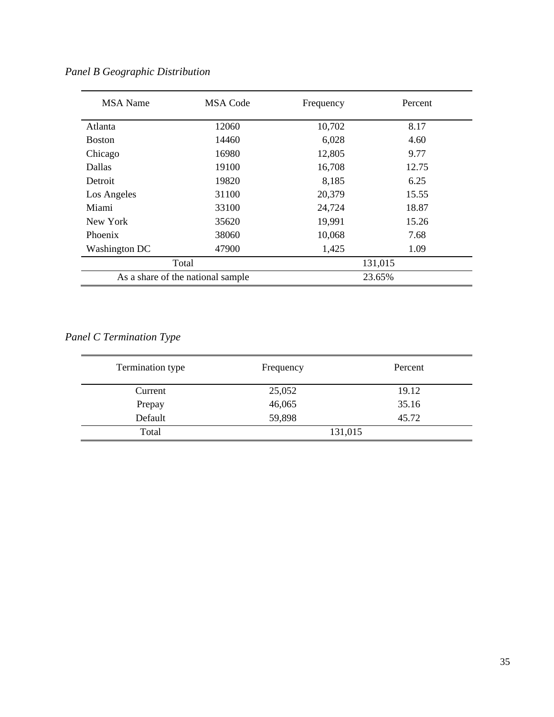| <b>MSA</b> Name | <b>MSA Code</b>                   | Frequency | Percent |
|-----------------|-----------------------------------|-----------|---------|
| Atlanta         | 12060                             | 10,702    | 8.17    |
| <b>Boston</b>   | 14460                             | 6,028     | 4.60    |
| Chicago         | 16980                             | 12,805    | 9.77    |
| Dallas          | 19100                             | 16,708    | 12.75   |
| Detroit         | 19820                             | 8,185     | 6.25    |
| Los Angeles     | 31100                             | 20,379    | 15.55   |
| Miami           | 33100                             | 24,724    | 18.87   |
| New York        | 35620                             | 19,991    | 15.26   |
| Phoenix         | 38060                             | 10,068    | 7.68    |
| Washington DC   | 47900                             | 1,425     | 1.09    |
|                 | Total                             |           | 131,015 |
|                 | As a share of the national sample |           | 23.65%  |

*Panel B Geographic Distribution*

# *Panel C Termination Type*

| Termination type | Frequency | Percent |
|------------------|-----------|---------|
| Current          | 25,052    | 19.12   |
| Prepay           | 46,065    | 35.16   |
| Default          | 59,898    | 45.72   |
| Total            | 131,015   |         |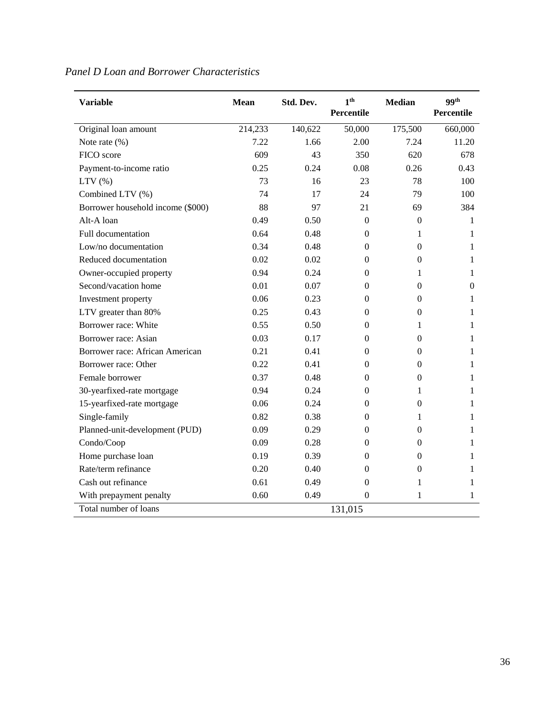| <b>Variable</b>                   | <b>Mean</b> | Std. Dev. | 1 <sup>th</sup><br>Percentile | <b>Median</b>    | 99 <sup>th</sup><br>Percentile |
|-----------------------------------|-------------|-----------|-------------------------------|------------------|--------------------------------|
| Original loan amount              | 214,233     | 140,622   | 50,000                        | 175,500          | 660,000                        |
| Note rate $(\% )$                 | 7.22        | 1.66      | 2.00                          | 7.24             | 11.20                          |
| FICO score                        | 609         | 43        | 350                           | 620              | 678                            |
| Payment-to-income ratio           | 0.25        | 0.24      | 0.08                          | 0.26             | 0.43                           |
| LTV(%)                            | 73          | 16        | 23                            | 78               | 100                            |
| Combined LTV (%)                  | 74          | 17        | 24                            | 79               | 100                            |
| Borrower household income (\$000) | 88          | 97        | 21                            | 69               | 384                            |
| Alt-A loan                        | 0.49        | 0.50      | $\theta$                      | $\theta$         | 1                              |
| Full documentation                | 0.64        | 0.48      | $\boldsymbol{0}$              | 1                | 1                              |
| Low/no documentation              | 0.34        | 0.48      | $\boldsymbol{0}$              | $\theta$         | 1                              |
| Reduced documentation             | 0.02        | 0.02      | $\boldsymbol{0}$              | $\boldsymbol{0}$ | 1                              |
| Owner-occupied property           | 0.94        | 0.24      | $\theta$                      | 1                | 1                              |
| Second/vacation home              | 0.01        | 0.07      | $\boldsymbol{0}$              | $\theta$         | $\mathbf{0}$                   |
| Investment property               | 0.06        | 0.23      | $\boldsymbol{0}$              | $\boldsymbol{0}$ | 1                              |
| LTV greater than 80%              | 0.25        | 0.43      | $\theta$                      | $\theta$         | 1                              |
| Borrower race: White              | 0.55        | 0.50      | $\boldsymbol{0}$              | 1                | 1                              |
| Borrower race: Asian              | 0.03        | 0.17      | $\boldsymbol{0}$              | $\overline{0}$   | 1                              |
| Borrower race: African American   | 0.21        | 0.41      | $\boldsymbol{0}$              | $\boldsymbol{0}$ | 1                              |
| Borrower race: Other              | 0.22        | 0.41      | $\theta$                      | $\boldsymbol{0}$ | 1                              |
| Female borrower                   | 0.37        | 0.48      | $\boldsymbol{0}$              | $\Omega$         | 1                              |
| 30-yearfixed-rate mortgage        | 0.94        | 0.24      | $\boldsymbol{0}$              | 1                | 1                              |
| 15-yearfixed-rate mortgage        | 0.06        | 0.24      | $\Omega$                      | $\theta$         | 1                              |
| Single-family                     | 0.82        | 0.38      | $\theta$                      | 1                | 1                              |
| Planned-unit-development (PUD)    | 0.09        | 0.29      | $\boldsymbol{0}$              | $\Omega$         | 1                              |
| Condo/Coop                        | 0.09        | 0.28      | $\boldsymbol{0}$              | $\theta$         | 1                              |
| Home purchase loan                | 0.19        | 0.39      | $\boldsymbol{0}$              | $\boldsymbol{0}$ | 1                              |
| Rate/term refinance               | 0.20        | 0.40      | $\boldsymbol{0}$              | $\boldsymbol{0}$ | 1                              |
| Cash out refinance                | 0.61        | 0.49      | $\Omega$                      | 1                | 1                              |
| With prepayment penalty           | 0.60        | 0.49      | $\boldsymbol{0}$              | 1                | 1                              |
| Total number of loans             |             |           | 131,015                       |                  |                                |

# *Panel D Loan and Borrower Characteristics*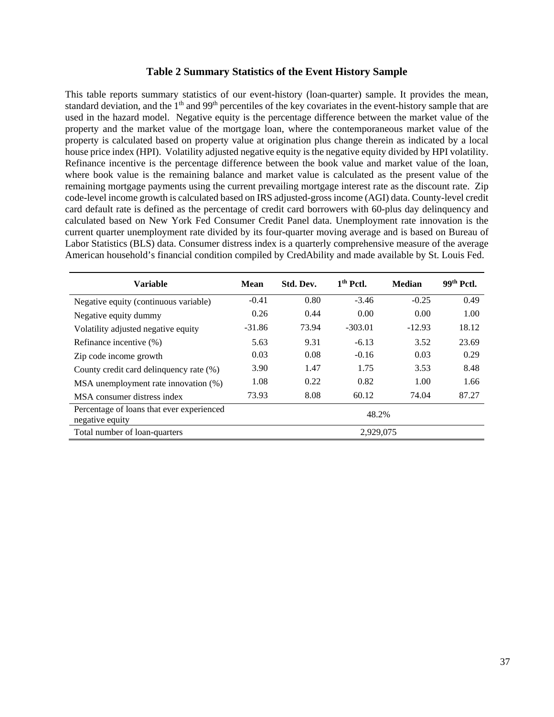### **Table 2 Summary Statistics of the Event History Sample**

This table reports summary statistics of our event-history (loan-quarter) sample. It provides the mean, standard deviation, and the 1<sup>th</sup> and 99<sup>th</sup> percentiles of the key covariates in the event-history sample that are used in the hazard model. Negative equity is the percentage difference between the market value of the property and the market value of the mortgage loan, where the contemporaneous market value of the property is calculated based on property value at origination plus change therein as indicated by a local house price index (HPI). Volatility adjusted negative equity is the negative equity divided by HPI volatility. Refinance incentive is the percentage difference between the book value and market value of the loan, where book value is the remaining balance and market value is calculated as the present value of the remaining mortgage payments using the current prevailing mortgage interest rate as the discount rate. Zip code-level income growth is calculated based on IRS adjusted-gross income (AGI) data. County-level credit card default rate is defined as the percentage of credit card borrowers with 60-plus day delinquency and calculated based on New York Fed Consumer Credit Panel data. Unemployment rate innovation is the current quarter unemployment rate divided by its four-quarter moving average and is based on Bureau of Labor Statistics (BLS) data. Consumer distress index is a quarterly comprehensive measure of the average American household's financial condition compiled by CredAbility and made available by St. Louis Fed.

| <b>Variable</b>                                              | Mean     | Std. Dev. | $1th$ Pctl. | <b>Median</b> | $99th$ Pctl. |
|--------------------------------------------------------------|----------|-----------|-------------|---------------|--------------|
| Negative equity (continuous variable)                        | $-0.41$  | 0.80      | $-3.46$     | $-0.25$       | 0.49         |
| Negative equity dummy                                        | 0.26     | 0.44      | 0.00        | 0.00          | 1.00         |
| Volatility adjusted negative equity                          | $-31.86$ | 73.94     | $-303.01$   | $-12.93$      | 18.12        |
| Refinance incentive (%)                                      | 5.63     | 9.31      | $-6.13$     | 3.52          | 23.69        |
| Zip code income growth                                       | 0.03     | 0.08      | $-0.16$     | 0.03          | 0.29         |
| County credit card delinquency rate (%)                      | 3.90     | 1.47      | 1.75        | 3.53          | 8.48         |
| MSA unemployment rate innovation (%)                         | 1.08     | 0.22      | 0.82        | 1.00          | 1.66         |
| MSA consumer distress index                                  | 73.93    | 8.08      | 60.12       | 74.04         | 87.27        |
| Percentage of loans that ever experienced<br>negative equity |          |           | 48.2%       |               |              |
| Total number of loan-quarters                                |          | 2,929,075 |             |               |              |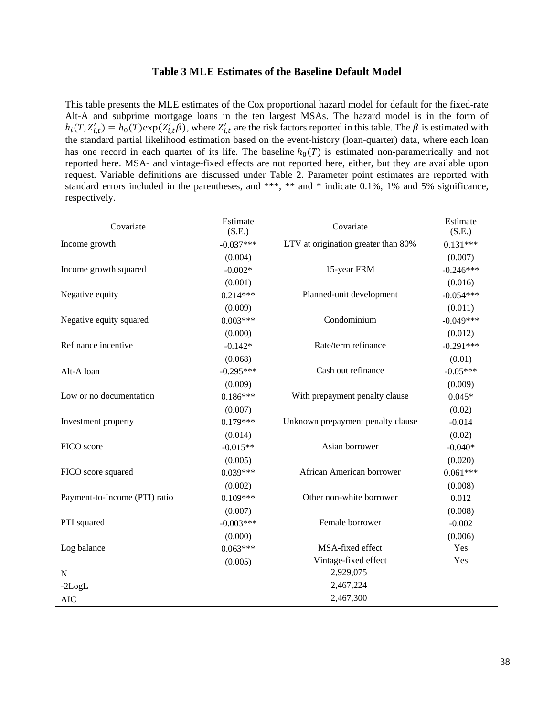### **Table 3 MLE Estimates of the Baseline Default Model**

This table presents the MLE estimates of the Cox proportional hazard model for default for the fixed-rate Alt-A and subprime mortgage loans in the ten largest MSAs. The hazard model is in the form of  $h_i(T, Z'_{i,t}) = h_0(T) \exp(Z'_{i,t} \beta)$ , where  $Z'_{i,t}$  are the risk factors reported in this table. The  $\beta$  is estimated with the standard partial likelihood estimation based on the event-history (loan-quarter) data, where each loan has one record in each quarter of its life. The baseline  $h_0(T)$  is estimated non-parametrically and not reported here. MSA- and vintage-fixed effects are not reported here, either, but they are available upon request. Variable definitions are discussed under Table 2. Parameter point estimates are reported with standard errors included in the parentheses, and \*\*\*, \*\* and \* indicate 0.1%, 1% and 5% significance, respectively.

| Covariate                     | Estimate<br>(S.E.) | Covariate                           | Estimate<br>(S.E.) |
|-------------------------------|--------------------|-------------------------------------|--------------------|
| Income growth                 | $-0.037***$        | LTV at origination greater than 80% | $0.131***$         |
|                               | (0.004)            |                                     | (0.007)            |
| Income growth squared         | $-0.002*$          | 15-year FRM                         | $-0.246***$        |
|                               | (0.001)            |                                     | (0.016)            |
| Negative equity               | $0.214***$         | Planned-unit development            | $-0.054***$        |
|                               | (0.009)            |                                     | (0.011)            |
| Negative equity squared       | $0.003***$         | Condominium                         | $-0.049***$        |
|                               | (0.000)            |                                     | (0.012)            |
| Refinance incentive           | $-0.142*$          | Rate/term refinance                 | $-0.291***$        |
|                               | (0.068)            |                                     | (0.01)             |
| Alt-A loan                    | $-0.295***$        | Cash out refinance                  | $-0.05***$         |
|                               | (0.009)            |                                     | (0.009)            |
| Low or no documentation       | $0.186***$         | With prepayment penalty clause      | $0.045*$           |
|                               | (0.007)            |                                     | (0.02)             |
| Investment property           | $0.179***$         | Unknown prepayment penalty clause   | $-0.014$           |
|                               | (0.014)            |                                     | (0.02)             |
| FICO score                    | $-0.015**$         | Asian borrower                      | $-0.040*$          |
|                               | (0.005)            |                                     | (0.020)            |
| FICO score squared            | $0.039***$         | African American borrower           | $0.061***$         |
|                               | (0.002)            |                                     | (0.008)            |
| Payment-to-Income (PTI) ratio | $0.109***$         | Other non-white borrower            | 0.012              |
|                               | (0.007)            |                                     | (0.008)            |
| PTI squared                   | $-0.003***$        | Female borrower                     | $-0.002$           |
|                               | (0.000)            |                                     | (0.006)            |
| Log balance                   | $0.063***$         | MSA-fixed effect                    | Yes                |
|                               | (0.005)            | Vintage-fixed effect                | Yes                |
| N                             |                    | 2,929,075                           |                    |
| $-2LogL$                      |                    | 2,467,224                           |                    |
| <b>AIC</b>                    |                    | 2,467,300                           |                    |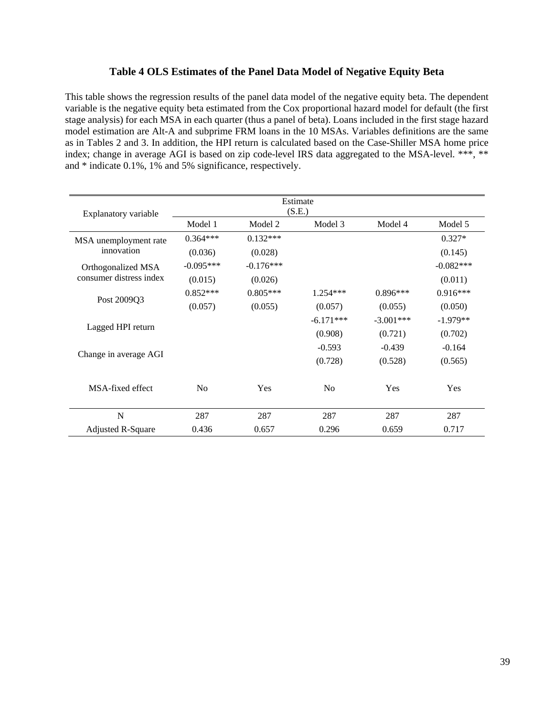### **Table 4 OLS Estimates of the Panel Data Model of Negative Equity Beta**

This table shows the regression results of the panel data model of the negative equity beta. The dependent variable is the negative equity beta estimated from the Cox proportional hazard model for default (the first stage analysis) for each MSA in each quarter (thus a panel of beta). Loans included in the first stage hazard model estimation are Alt-A and subprime FRM loans in the 10 MSAs. Variables definitions are the same as in Tables 2 and 3. In addition, the HPI return is calculated based on the Case-Shiller MSA home price index; change in average AGI is based on zip code-level IRS data aggregated to the MSA-level. \*\*\*, \*\* and \* indicate 0.1%, 1% and 5% significance, respectively.

| Explanatory variable     | Estimate<br>(S.E.) |             |             |             |             |
|--------------------------|--------------------|-------------|-------------|-------------|-------------|
|                          | Model 1            | Model 2     | Model 3     | Model 4     | Model 5     |
| MSA unemployment rate    | $0.364***$         | $0.132***$  |             |             | $0.327*$    |
| innovation               | (0.036)            | (0.028)     |             |             | (0.145)     |
| Orthogonalized MSA       | $-0.095***$        | $-0.176***$ |             |             | $-0.082***$ |
| consumer distress index  | (0.015)            | (0.026)     |             |             | (0.011)     |
|                          | $0.852***$         | $0.805***$  | $1.254***$  | $0.896***$  | $0.916***$  |
| Post 2009Q3              | (0.057)            | (0.055)     | (0.057)     | (0.055)     | (0.050)     |
|                          |                    |             | $-6.171***$ | $-3.001***$ | $-1.979**$  |
| Lagged HPI return        |                    |             | (0.908)     | (0.721)     | (0.702)     |
|                          |                    |             | $-0.593$    | $-0.439$    | $-0.164$    |
| Change in average AGI    |                    |             | (0.728)     | (0.528)     | (0.565)     |
| MSA-fixed effect         | No                 | Yes         | No          | Yes         | Yes         |
| N                        | 287                | 287         | 287         | 287         | 287         |
| <b>Adjusted R-Square</b> | 0.436              | 0.657       | 0.296       | 0.659       | 0.717       |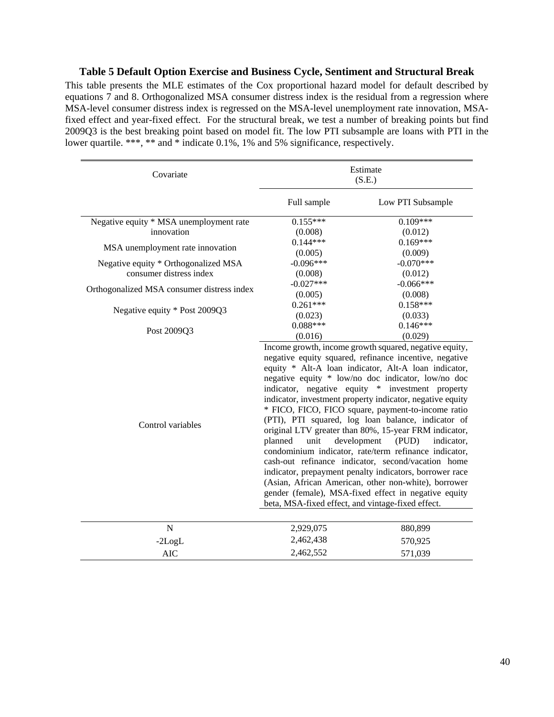### **Table 5 Default Option Exercise and Business Cycle, Sentiment and Structural Break**

This table presents the MLE estimates of the Cox proportional hazard model for default described by equations 7 and 8. Orthogonalized MSA consumer distress index is the residual from a regression where MSA-level consumer distress index is regressed on the MSA-level unemployment rate innovation, MSAfixed effect and year-fixed effect. For the structural break, we test a number of breaking points but find 2009Q3 is the best breaking point based on model fit. The low PTI subsample are loans with PTI in the lower quartile. \*\*\*, \*\* and \* indicate 0.1%, 1% and 5% significance, respectively.

| Covariate                                  | Estimate<br>(S.E.)                                                                                                                                                                                                                                                                                                                                                                                                                                                                                                                                                                                                                                                                                                                                                                                                                                                                                                           |                   |  |
|--------------------------------------------|------------------------------------------------------------------------------------------------------------------------------------------------------------------------------------------------------------------------------------------------------------------------------------------------------------------------------------------------------------------------------------------------------------------------------------------------------------------------------------------------------------------------------------------------------------------------------------------------------------------------------------------------------------------------------------------------------------------------------------------------------------------------------------------------------------------------------------------------------------------------------------------------------------------------------|-------------------|--|
|                                            | Full sample                                                                                                                                                                                                                                                                                                                                                                                                                                                                                                                                                                                                                                                                                                                                                                                                                                                                                                                  | Low PTI Subsample |  |
| Negative equity * MSA unemployment rate    | $0.155***$                                                                                                                                                                                                                                                                                                                                                                                                                                                                                                                                                                                                                                                                                                                                                                                                                                                                                                                   | $0.109***$        |  |
| innovation                                 | (0.008)                                                                                                                                                                                                                                                                                                                                                                                                                                                                                                                                                                                                                                                                                                                                                                                                                                                                                                                      | (0.012)           |  |
|                                            | $0.144***$                                                                                                                                                                                                                                                                                                                                                                                                                                                                                                                                                                                                                                                                                                                                                                                                                                                                                                                   | $0.169***$        |  |
| MSA unemployment rate innovation           | (0.005)                                                                                                                                                                                                                                                                                                                                                                                                                                                                                                                                                                                                                                                                                                                                                                                                                                                                                                                      | (0.009)           |  |
| Negative equity * Orthogonalized MSA       | $-0.096***$                                                                                                                                                                                                                                                                                                                                                                                                                                                                                                                                                                                                                                                                                                                                                                                                                                                                                                                  | $-0.070***$       |  |
| consumer distress index                    | (0.008)                                                                                                                                                                                                                                                                                                                                                                                                                                                                                                                                                                                                                                                                                                                                                                                                                                                                                                                      | (0.012)           |  |
| Orthogonalized MSA consumer distress index | $-0.027***$                                                                                                                                                                                                                                                                                                                                                                                                                                                                                                                                                                                                                                                                                                                                                                                                                                                                                                                  | $-0.066***$       |  |
|                                            | (0.005)                                                                                                                                                                                                                                                                                                                                                                                                                                                                                                                                                                                                                                                                                                                                                                                                                                                                                                                      | (0.008)           |  |
| Negative equity * Post 2009Q3              | $0.261***$                                                                                                                                                                                                                                                                                                                                                                                                                                                                                                                                                                                                                                                                                                                                                                                                                                                                                                                   | $0.158***$        |  |
|                                            | (0.023)                                                                                                                                                                                                                                                                                                                                                                                                                                                                                                                                                                                                                                                                                                                                                                                                                                                                                                                      | (0.033)           |  |
| Post 2009Q3                                | $0.088***$                                                                                                                                                                                                                                                                                                                                                                                                                                                                                                                                                                                                                                                                                                                                                                                                                                                                                                                   | $0.146***$        |  |
|                                            | (0.016)                                                                                                                                                                                                                                                                                                                                                                                                                                                                                                                                                                                                                                                                                                                                                                                                                                                                                                                      | (0.029)           |  |
| Control variables                          | Income growth, income growth squared, negative equity,<br>negative equity squared, refinance incentive, negative<br>equity * Alt-A loan indicator, Alt-A loan indicator,<br>negative equity * low/no doc indicator, low/no doc<br>indicator, negative equity * investment property<br>indicator, investment property indicator, negative equity<br>* FICO, FICO, FICO square, payment-to-income ratio<br>(PTI), PTI squared, log loan balance, indicator of<br>original LTV greater than 80%, 15-year FRM indicator,<br>planned<br>unit<br>development<br>(PID)<br>indicator,<br>condominium indicator, rate/term refinance indicator,<br>cash-out refinance indicator, second/vacation home<br>indicator, prepayment penalty indicators, borrower race<br>(Asian, African American, other non-white), borrower<br>gender (female), MSA-fixed effect in negative equity<br>beta, MSA-fixed effect, and vintage-fixed effect. |                   |  |
| N                                          | 2,929,075                                                                                                                                                                                                                                                                                                                                                                                                                                                                                                                                                                                                                                                                                                                                                                                                                                                                                                                    | 880,899           |  |
|                                            | 2,462,438                                                                                                                                                                                                                                                                                                                                                                                                                                                                                                                                                                                                                                                                                                                                                                                                                                                                                                                    |                   |  |
| $-2LogL$                                   |                                                                                                                                                                                                                                                                                                                                                                                                                                                                                                                                                                                                                                                                                                                                                                                                                                                                                                                              | 570,925           |  |
| <b>AIC</b>                                 | 2,462,552                                                                                                                                                                                                                                                                                                                                                                                                                                                                                                                                                                                                                                                                                                                                                                                                                                                                                                                    | 571,039           |  |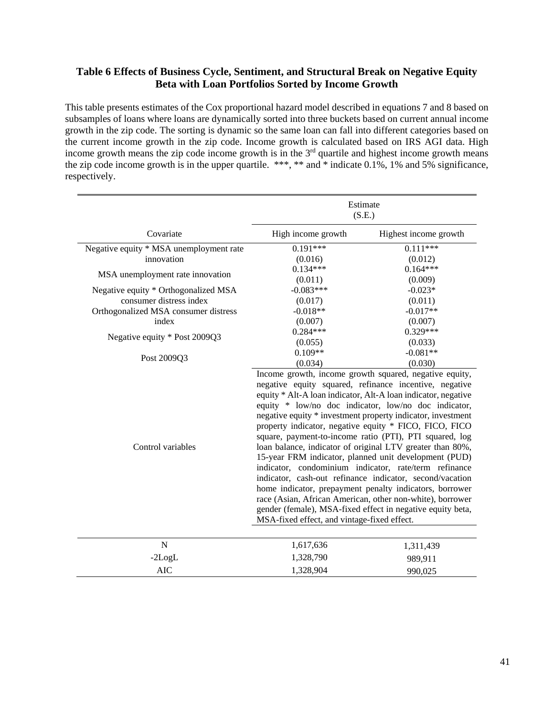### **Table 6 Effects of Business Cycle, Sentiment, and Structural Break on Negative Equity Beta with Loan Portfolios Sorted by Income Growth**

This table presents estimates of the Cox proportional hazard model described in equations 7 and 8 based on subsamples of loans where loans are dynamically sorted into three buckets based on current annual income growth in the zip code. The sorting is dynamic so the same loan can fall into different categories based on the current income growth in the zip code. Income growth is calculated based on IRS AGI data. High income growth means the zip code income growth is in the  $3<sup>rd</sup>$  quartile and highest income growth means the zip code income growth is in the upper quartile. \*\*\*, \*\* and \* indicate 0.1%, 1% and 5% significance, respectively.

|                                         | Estimate<br>(S.E.)                                                                                                                                                                                                                                                                                                                                                                                                                                                                                                                                                                                                                                                                                                                                                                                                                                                                                            |                       |  |  |
|-----------------------------------------|---------------------------------------------------------------------------------------------------------------------------------------------------------------------------------------------------------------------------------------------------------------------------------------------------------------------------------------------------------------------------------------------------------------------------------------------------------------------------------------------------------------------------------------------------------------------------------------------------------------------------------------------------------------------------------------------------------------------------------------------------------------------------------------------------------------------------------------------------------------------------------------------------------------|-----------------------|--|--|
| Covariate                               | High income growth                                                                                                                                                                                                                                                                                                                                                                                                                                                                                                                                                                                                                                                                                                                                                                                                                                                                                            | Highest income growth |  |  |
| Negative equity * MSA unemployment rate | $0.191***$                                                                                                                                                                                                                                                                                                                                                                                                                                                                                                                                                                                                                                                                                                                                                                                                                                                                                                    | $0.111***$            |  |  |
| innovation                              | (0.016)                                                                                                                                                                                                                                                                                                                                                                                                                                                                                                                                                                                                                                                                                                                                                                                                                                                                                                       | (0.012)               |  |  |
|                                         | $0.134***$                                                                                                                                                                                                                                                                                                                                                                                                                                                                                                                                                                                                                                                                                                                                                                                                                                                                                                    | $0.164***$            |  |  |
| MSA unemployment rate innovation        | (0.011)                                                                                                                                                                                                                                                                                                                                                                                                                                                                                                                                                                                                                                                                                                                                                                                                                                                                                                       | (0.009)               |  |  |
| Negative equity * Orthogonalized MSA    | $-0.083***$                                                                                                                                                                                                                                                                                                                                                                                                                                                                                                                                                                                                                                                                                                                                                                                                                                                                                                   | $-0.023*$             |  |  |
| consumer distress index                 | (0.017)                                                                                                                                                                                                                                                                                                                                                                                                                                                                                                                                                                                                                                                                                                                                                                                                                                                                                                       | (0.011)               |  |  |
| Orthogonalized MSA consumer distress    | $-0.018**$                                                                                                                                                                                                                                                                                                                                                                                                                                                                                                                                                                                                                                                                                                                                                                                                                                                                                                    | $-0.017**$            |  |  |
| index                                   | (0.007)                                                                                                                                                                                                                                                                                                                                                                                                                                                                                                                                                                                                                                                                                                                                                                                                                                                                                                       | (0.007)               |  |  |
|                                         | $0.284***$                                                                                                                                                                                                                                                                                                                                                                                                                                                                                                                                                                                                                                                                                                                                                                                                                                                                                                    | $0.329***$            |  |  |
| Negative equity * Post 2009Q3           | (0.055)                                                                                                                                                                                                                                                                                                                                                                                                                                                                                                                                                                                                                                                                                                                                                                                                                                                                                                       | (0.033)               |  |  |
|                                         | $0.109**$                                                                                                                                                                                                                                                                                                                                                                                                                                                                                                                                                                                                                                                                                                                                                                                                                                                                                                     | $-0.081**$            |  |  |
| Post 2009Q3                             | (0.034)                                                                                                                                                                                                                                                                                                                                                                                                                                                                                                                                                                                                                                                                                                                                                                                                                                                                                                       | (0.030)               |  |  |
| Control variables                       | Income growth, income growth squared, negative equity,<br>negative equity squared, refinance incentive, negative<br>equity * Alt-A loan indicator, Alt-A loan indicator, negative<br>equity * low/no doc indicator, low/no doc indicator,<br>negative equity * investment property indicator, investment<br>property indicator, negative equity * FICO, FICO, FICO<br>square, payment-to-income ratio (PTI), PTI squared, log<br>loan balance, indicator of original LTV greater than 80%,<br>15-year FRM indicator, planned unit development (PUD)<br>indicator, condominium indicator, rate/term refinance<br>indicator, cash-out refinance indicator, second/vacation<br>home indicator, prepayment penalty indicators, borrower<br>race (Asian, African American, other non-white), borrower<br>gender (female), MSA-fixed effect in negative equity beta,<br>MSA-fixed effect, and vintage-fixed effect. |                       |  |  |
| $\mathbf N$                             | 1,617,636                                                                                                                                                                                                                                                                                                                                                                                                                                                                                                                                                                                                                                                                                                                                                                                                                                                                                                     | 1,311,439             |  |  |
| $-2LogL$                                | 1,328,790                                                                                                                                                                                                                                                                                                                                                                                                                                                                                                                                                                                                                                                                                                                                                                                                                                                                                                     | 989,911               |  |  |
| <b>AIC</b>                              | 1,328,904<br>990,025                                                                                                                                                                                                                                                                                                                                                                                                                                                                                                                                                                                                                                                                                                                                                                                                                                                                                          |                       |  |  |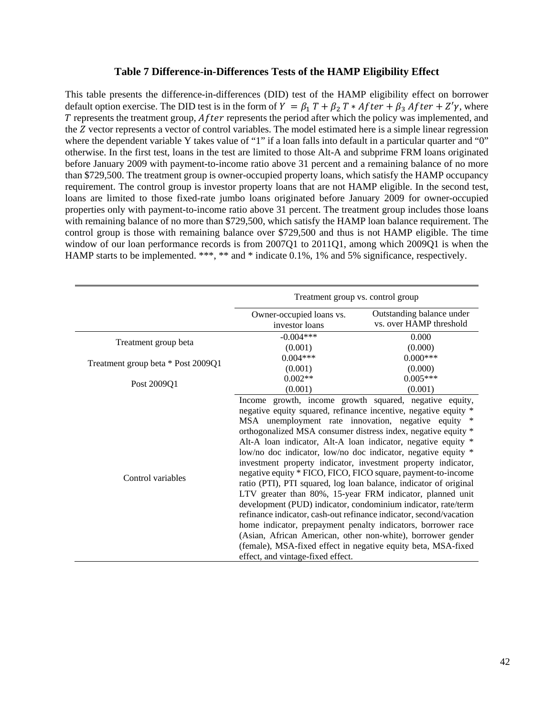### **Table 7 Difference-in-Differences Tests of the HAMP Eligibility Effect**

This table presents the difference-in-differences (DID) test of the HAMP eligibility effect on borrower default option exercise. The DID test is in the form of  $Y = \beta_1 T + \beta_2 T * After + \beta_3 After + Z'\gamma$ , where  $T$  represents the treatment group,  $After$  represents the period after which the policy was implemented, and the Z vector represents a vector of control variables. The model estimated here is a simple linear regression where the dependent variable Y takes value of "1" if a loan falls into default in a particular quarter and "0" otherwise. In the first test, loans in the test are limited to those Alt-A and subprime FRM loans originated before January 2009 with payment-to-income ratio above 31 percent and a remaining balance of no more than \$729,500. The treatment group is owner-occupied property loans, which satisfy the HAMP occupancy requirement. The control group is investor property loans that are not HAMP eligible. In the second test, loans are limited to those fixed-rate jumbo loans originated before January 2009 for owner-occupied properties only with payment-to-income ratio above 31 percent. The treatment group includes those loans with remaining balance of no more than \$729,500, which satisfy the HAMP loan balance requirement. The control group is those with remaining balance over \$729,500 and thus is not HAMP eligible. The time window of our loan performance records is from 2007Q1 to 2011Q1, among which 2009Q1 is when the HAMP starts to be implemented. \*\*\*, \*\* and \* indicate 0.1%, 1% and 5% significance, respectively.

|                                    | Treatment group vs. control group          |                                                                                                                                                                                                                                                                                                                                                                                                                                                                                                                                                                                                                                                                                                                                                                                                                                                                                                                                                                                               |  |
|------------------------------------|--------------------------------------------|-----------------------------------------------------------------------------------------------------------------------------------------------------------------------------------------------------------------------------------------------------------------------------------------------------------------------------------------------------------------------------------------------------------------------------------------------------------------------------------------------------------------------------------------------------------------------------------------------------------------------------------------------------------------------------------------------------------------------------------------------------------------------------------------------------------------------------------------------------------------------------------------------------------------------------------------------------------------------------------------------|--|
|                                    | Owner-occupied loans vs.<br>investor loans | Outstanding balance under<br>vs. over HAMP threshold                                                                                                                                                                                                                                                                                                                                                                                                                                                                                                                                                                                                                                                                                                                                                                                                                                                                                                                                          |  |
| Treatment group beta               | $-0.004***$<br>(0.001)                     | 0.000<br>(0.000)                                                                                                                                                                                                                                                                                                                                                                                                                                                                                                                                                                                                                                                                                                                                                                                                                                                                                                                                                                              |  |
| Treatment group beta * Post 2009Q1 | $0.004***$<br>(0.001)                      | $0.000***$<br>(0.000)                                                                                                                                                                                                                                                                                                                                                                                                                                                                                                                                                                                                                                                                                                                                                                                                                                                                                                                                                                         |  |
| Post 2009Q1                        | $0.002**$<br>(0.001)                       | $0.005***$<br>(0.001)                                                                                                                                                                                                                                                                                                                                                                                                                                                                                                                                                                                                                                                                                                                                                                                                                                                                                                                                                                         |  |
| Control variables                  | effect, and vintage-fixed effect.          | Income growth, income growth squared, negative equity,<br>negative equity squared, refinance incentive, negative equity *<br>MSA unemployment rate innovation, negative equity *<br>orthogonalized MSA consumer distress index, negative equity *<br>Alt-A loan indicator, Alt-A loan indicator, negative equity *<br>low/no doc indicator, low/no doc indicator, negative equity *<br>investment property indicator, investment property indicator,<br>negative equity * FICO, FICO, FICO square, payment-to-income<br>ratio (PTI), PTI squared, log loan balance, indicator of original<br>LTV greater than 80%, 15-year FRM indicator, planned unit<br>development (PUD) indicator, condominium indicator, rate/term<br>refinance indicator, cash-out refinance indicator, second/vacation<br>home indicator, prepayment penalty indicators, borrower race<br>(Asian, African American, other non-white), borrower gender<br>(female), MSA-fixed effect in negative equity beta, MSA-fixed |  |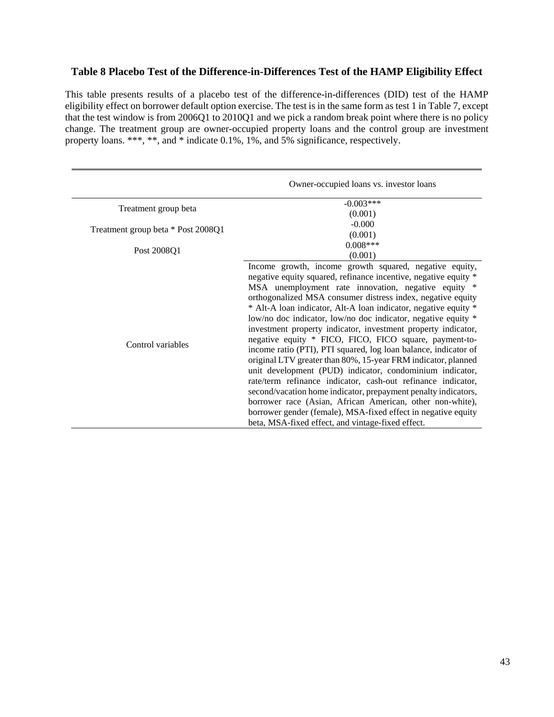### **Table 8 Placebo Test of the Difference-in-Differences Test of the HAMP Eligibility Effect**

This table presents results of a placebo test of the difference-in-differences (DID) test of the HAMP eligibility effect on borrower default option exercise. The test is in the same form as test 1 in Table 7, except that the test window is from 2006Q1 to 2010Q1 and we pick a random break point where there is no policy change. The treatment group are owner-occupied property loans and the control group are investment property loans. \*\*\*, \*\*, and \* indicate 0.1%, 1%, and 5% significance, respectively.

|                                    | Owner-occupied loans vs. investor loans                                                                                                                                                                                                                                                                                                                                                                                                                                                                                                                                                                                                                                                                                                                                                                                                                                                                                                                                                                                             |
|------------------------------------|-------------------------------------------------------------------------------------------------------------------------------------------------------------------------------------------------------------------------------------------------------------------------------------------------------------------------------------------------------------------------------------------------------------------------------------------------------------------------------------------------------------------------------------------------------------------------------------------------------------------------------------------------------------------------------------------------------------------------------------------------------------------------------------------------------------------------------------------------------------------------------------------------------------------------------------------------------------------------------------------------------------------------------------|
|                                    | $-0.003***$                                                                                                                                                                                                                                                                                                                                                                                                                                                                                                                                                                                                                                                                                                                                                                                                                                                                                                                                                                                                                         |
| Treatment group beta               | (0.001)                                                                                                                                                                                                                                                                                                                                                                                                                                                                                                                                                                                                                                                                                                                                                                                                                                                                                                                                                                                                                             |
| Treatment group beta * Post 2008Q1 | $-0.000$                                                                                                                                                                                                                                                                                                                                                                                                                                                                                                                                                                                                                                                                                                                                                                                                                                                                                                                                                                                                                            |
|                                    | (0.001)                                                                                                                                                                                                                                                                                                                                                                                                                                                                                                                                                                                                                                                                                                                                                                                                                                                                                                                                                                                                                             |
| Post 2008Q1                        | $0.008***$                                                                                                                                                                                                                                                                                                                                                                                                                                                                                                                                                                                                                                                                                                                                                                                                                                                                                                                                                                                                                          |
|                                    | (0.001)                                                                                                                                                                                                                                                                                                                                                                                                                                                                                                                                                                                                                                                                                                                                                                                                                                                                                                                                                                                                                             |
| Control variables                  | Income growth, income growth squared, negative equity,<br>negative equity squared, refinance incentive, negative equity *<br>MSA unemployment rate innovation, negative equity *<br>orthogonalized MSA consumer distress index, negative equity<br>* Alt-A loan indicator, Alt-A loan indicator, negative equity *<br>low/no doc indicator, low/no doc indicator, negative equity *<br>investment property indicator, investment property indicator,<br>negative equity * FICO, FICO, FICO square, payment-to-<br>income ratio (PTI), PTI squared, log loan balance, indicator of<br>original LTV greater than 80%, 15-year FRM indicator, planned<br>unit development (PUD) indicator, condominium indicator,<br>rate/term refinance indicator, cash-out refinance indicator,<br>second/vacation home indicator, prepayment penalty indicators,<br>borrower race (Asian, African American, other non-white),<br>borrower gender (female), MSA-fixed effect in negative equity<br>beta, MSA-fixed effect, and vintage-fixed effect. |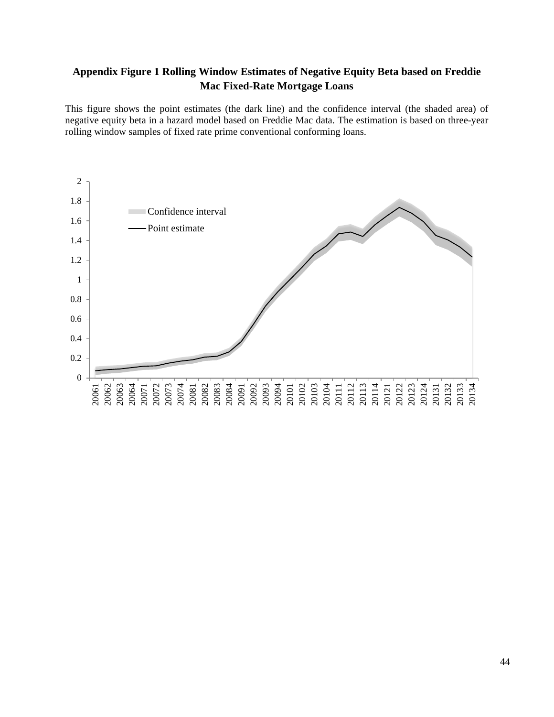# **Appendix Figure 1 Rolling Window Estimates of Negative Equity Beta based on Freddie Mac Fixed-Rate Mortgage Loans**

This figure shows the point estimates (the dark line) and the confidence interval (the shaded area) of negative equity beta in a hazard model based on Freddie Mac data. The estimation is based on three-year rolling window samples of fixed rate prime conventional conforming loans.

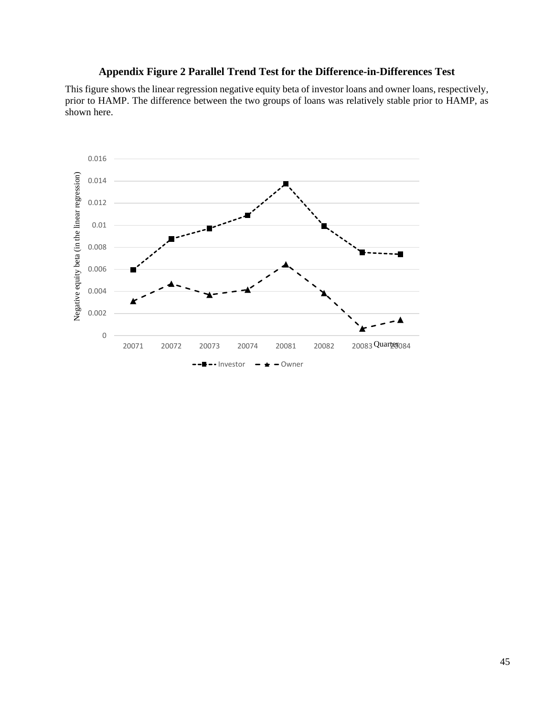## **Appendix Figure 2 Parallel Trend Test for the Difference-in-Differences Test**

This figure shows the linear regression negative equity beta of investor loans and owner loans, respectively, prior to HAMP. The difference between the two groups of loans was relatively stable prior to HAMP, as shown here.

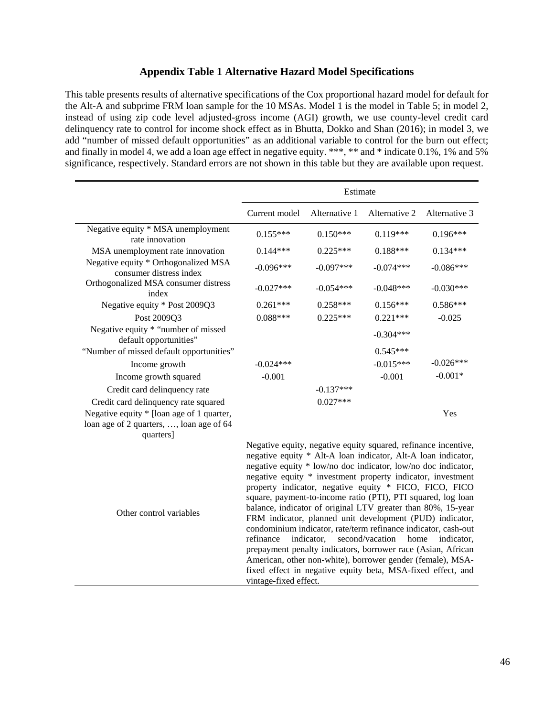### **Appendix Table 1 Alternative Hazard Model Specifications**

This table presents results of alternative specifications of the Cox proportional hazard model for default for the Alt-A and subprime FRM loan sample for the 10 MSAs. Model 1 is the model in Table 5; in model 2, instead of using zip code level adjusted-gross income (AGI) growth, we use county-level credit card delinquency rate to control for income shock effect as in Bhutta, Dokko and Shan (2016); in model 3, we add "number of missed default opportunities" as an additional variable to control for the burn out effect; and finally in model 4, we add a loan age effect in negative equity. \*\*\*, \*\* and \* indicate 0.1%, 1% and 5% significance, respectively. Standard errors are not shown in this table but they are available upon request.

|                                                                 | Estimate                                                                                                                                                                                                                                                                                                                                                                                                                                                                                                                                                                                                                                                                                                                                                                                                                                                                          |               |               |               |  |
|-----------------------------------------------------------------|-----------------------------------------------------------------------------------------------------------------------------------------------------------------------------------------------------------------------------------------------------------------------------------------------------------------------------------------------------------------------------------------------------------------------------------------------------------------------------------------------------------------------------------------------------------------------------------------------------------------------------------------------------------------------------------------------------------------------------------------------------------------------------------------------------------------------------------------------------------------------------------|---------------|---------------|---------------|--|
|                                                                 | Current model                                                                                                                                                                                                                                                                                                                                                                                                                                                                                                                                                                                                                                                                                                                                                                                                                                                                     | Alternative 1 | Alternative 2 | Alternative 3 |  |
| Negative equity * MSA unemployment<br>rate innovation           | $0.155***$                                                                                                                                                                                                                                                                                                                                                                                                                                                                                                                                                                                                                                                                                                                                                                                                                                                                        | $0.150***$    | $0.119***$    | $0.196***$    |  |
| MSA unemployment rate innovation                                | $0.144***$                                                                                                                                                                                                                                                                                                                                                                                                                                                                                                                                                                                                                                                                                                                                                                                                                                                                        | $0.225***$    | $0.188***$    | $0.134***$    |  |
| Negative equity * Orthogonalized MSA<br>consumer distress index | $-0.096***$                                                                                                                                                                                                                                                                                                                                                                                                                                                                                                                                                                                                                                                                                                                                                                                                                                                                       | $-0.097***$   | $-0.074***$   | $-0.086***$   |  |
| Orthogonalized MSA consumer distress<br>index                   | $-0.027***$                                                                                                                                                                                                                                                                                                                                                                                                                                                                                                                                                                                                                                                                                                                                                                                                                                                                       | $-0.054***$   | $-0.048***$   | $-0.030***$   |  |
| Negative equity * Post 2009Q3                                   | $0.261***$                                                                                                                                                                                                                                                                                                                                                                                                                                                                                                                                                                                                                                                                                                                                                                                                                                                                        | $0.258***$    | $0.156***$    | $0.586***$    |  |
| Post 2009Q3                                                     | $0.088***$                                                                                                                                                                                                                                                                                                                                                                                                                                                                                                                                                                                                                                                                                                                                                                                                                                                                        | $0.225***$    | $0.221***$    | $-0.025$      |  |
| Negative equity * "number of missed<br>default opportunities"   |                                                                                                                                                                                                                                                                                                                                                                                                                                                                                                                                                                                                                                                                                                                                                                                                                                                                                   |               | $-0.304***$   |               |  |
| "Number of missed default opportunities"                        |                                                                                                                                                                                                                                                                                                                                                                                                                                                                                                                                                                                                                                                                                                                                                                                                                                                                                   |               | $0.545***$    |               |  |
| Income growth                                                   | $-0.024***$                                                                                                                                                                                                                                                                                                                                                                                                                                                                                                                                                                                                                                                                                                                                                                                                                                                                       |               | $-0.015***$   | $-0.026***$   |  |
| Income growth squared                                           | $-0.001$                                                                                                                                                                                                                                                                                                                                                                                                                                                                                                                                                                                                                                                                                                                                                                                                                                                                          |               | $-0.001$      | $-0.001*$     |  |
| Credit card delinquency rate                                    |                                                                                                                                                                                                                                                                                                                                                                                                                                                                                                                                                                                                                                                                                                                                                                                                                                                                                   | $-0.137***$   |               |               |  |
| Credit card delinquency rate squared                            |                                                                                                                                                                                                                                                                                                                                                                                                                                                                                                                                                                                                                                                                                                                                                                                                                                                                                   | $0.027***$    |               |               |  |
| Negative equity * [loan age of 1 quarter,                       |                                                                                                                                                                                                                                                                                                                                                                                                                                                                                                                                                                                                                                                                                                                                                                                                                                                                                   |               |               | Yes           |  |
| loan age of 2 quarters, , loan age of 64<br>quarters]           |                                                                                                                                                                                                                                                                                                                                                                                                                                                                                                                                                                                                                                                                                                                                                                                                                                                                                   |               |               |               |  |
| Other control variables                                         | Negative equity, negative equity squared, refinance incentive,<br>negative equity * Alt-A loan indicator, Alt-A loan indicator,<br>negative equity * low/no doc indicator, low/no doc indicator,<br>negative equity * investment property indicator, investment<br>property indicator, negative equity * FICO, FICO, FICO<br>square, payment-to-income ratio (PTI), PTI squared, log loan<br>balance, indicator of original LTV greater than 80%, 15-year<br>FRM indicator, planned unit development (PUD) indicator,<br>condominium indicator, rate/term refinance indicator, cash-out<br>second/vacation<br>refinance<br>indicator,<br>home<br>indicator,<br>prepayment penalty indicators, borrower race (Asian, African<br>American, other non-white), borrower gender (female), MSA-<br>fixed effect in negative equity beta, MSA-fixed effect, and<br>vintage-fixed effect. |               |               |               |  |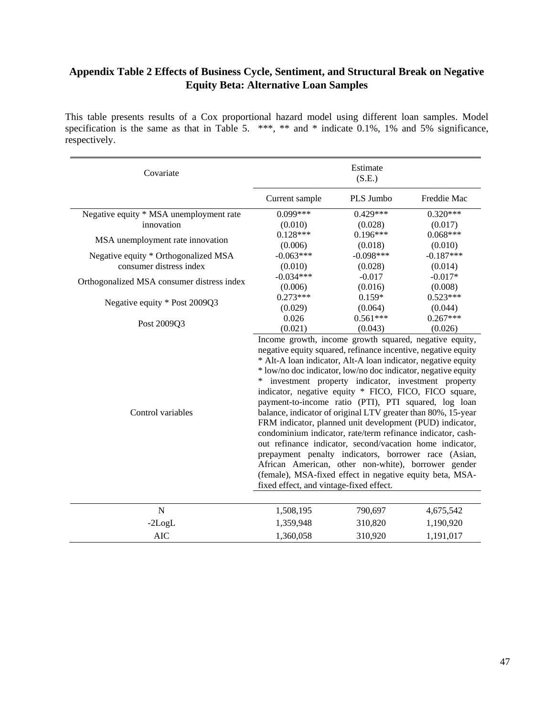# **Appendix Table 2 Effects of Business Cycle, Sentiment, and Structural Break on Negative Equity Beta: Alternative Loan Samples**

This table presents results of a Cox proportional hazard model using different loan samples. Model specification is the same as that in Table 5. \*\*\*, \*\* and \* indicate 0.1%, 1% and 5% significance, respectively.

| Covariate                                  | Estimate<br>(S.E.)                                                                                                                                                                                                                                                                                                                                                                                                                                                                                                                                                                                                                                                                                                                                                                                                                                                                                            |             |             |
|--------------------------------------------|---------------------------------------------------------------------------------------------------------------------------------------------------------------------------------------------------------------------------------------------------------------------------------------------------------------------------------------------------------------------------------------------------------------------------------------------------------------------------------------------------------------------------------------------------------------------------------------------------------------------------------------------------------------------------------------------------------------------------------------------------------------------------------------------------------------------------------------------------------------------------------------------------------------|-------------|-------------|
|                                            | Current sample                                                                                                                                                                                                                                                                                                                                                                                                                                                                                                                                                                                                                                                                                                                                                                                                                                                                                                | PLS Jumbo   | Freddie Mac |
| Negative equity * MSA unemployment rate    | $0.099***$                                                                                                                                                                                                                                                                                                                                                                                                                                                                                                                                                                                                                                                                                                                                                                                                                                                                                                    | $0.429***$  | $0.320***$  |
| innovation                                 | (0.010)                                                                                                                                                                                                                                                                                                                                                                                                                                                                                                                                                                                                                                                                                                                                                                                                                                                                                                       | (0.028)     | (0.017)     |
| MSA unemployment rate innovation           | $0.128***$                                                                                                                                                                                                                                                                                                                                                                                                                                                                                                                                                                                                                                                                                                                                                                                                                                                                                                    | $0.196***$  | $0.068***$  |
|                                            | (0.006)                                                                                                                                                                                                                                                                                                                                                                                                                                                                                                                                                                                                                                                                                                                                                                                                                                                                                                       | (0.018)     | (0.010)     |
| Negative equity * Orthogonalized MSA       | $-0.063***$                                                                                                                                                                                                                                                                                                                                                                                                                                                                                                                                                                                                                                                                                                                                                                                                                                                                                                   | $-0.098***$ | $-0.187***$ |
| consumer distress index                    | (0.010)                                                                                                                                                                                                                                                                                                                                                                                                                                                                                                                                                                                                                                                                                                                                                                                                                                                                                                       | (0.028)     | (0.014)     |
|                                            | $-0.034***$                                                                                                                                                                                                                                                                                                                                                                                                                                                                                                                                                                                                                                                                                                                                                                                                                                                                                                   | $-0.017$    | $-0.017*$   |
| Orthogonalized MSA consumer distress index | (0.006)                                                                                                                                                                                                                                                                                                                                                                                                                                                                                                                                                                                                                                                                                                                                                                                                                                                                                                       | (0.016)     | (0.008)     |
| Negative equity * Post 2009Q3              | $0.273***$                                                                                                                                                                                                                                                                                                                                                                                                                                                                                                                                                                                                                                                                                                                                                                                                                                                                                                    | $0.159*$    | $0.523***$  |
|                                            | (0.029)                                                                                                                                                                                                                                                                                                                                                                                                                                                                                                                                                                                                                                                                                                                                                                                                                                                                                                       | (0.064)     | (0.044)     |
| Post 2009Q3                                | 0.026                                                                                                                                                                                                                                                                                                                                                                                                                                                                                                                                                                                                                                                                                                                                                                                                                                                                                                         | $0.561***$  | $0.267***$  |
|                                            | (0.021)                                                                                                                                                                                                                                                                                                                                                                                                                                                                                                                                                                                                                                                                                                                                                                                                                                                                                                       | (0.043)     | (0.026)     |
| Control variables                          | Income growth, income growth squared, negative equity,<br>negative equity squared, refinance incentive, negative equity<br>* Alt-A loan indicator, Alt-A loan indicator, negative equity<br>* low/no doc indicator, low/no doc indicator, negative equity<br>investment property indicator, investment property<br>indicator, negative equity * FICO, FICO, FICO square,<br>payment-to-income ratio (PTI), PTI squared, log loan<br>balance, indicator of original LTV greater than 80%, 15-year<br>FRM indicator, planned unit development (PUD) indicator,<br>condominium indicator, rate/term refinance indicator, cash-<br>out refinance indicator, second/vacation home indicator,<br>prepayment penalty indicators, borrower race (Asian,<br>African American, other non-white), borrower gender<br>(female), MSA-fixed effect in negative equity beta, MSA-<br>fixed effect, and vintage-fixed effect. |             |             |
| $\mathbf N$                                |                                                                                                                                                                                                                                                                                                                                                                                                                                                                                                                                                                                                                                                                                                                                                                                                                                                                                                               | 790,697     |             |
|                                            | 1,508,195                                                                                                                                                                                                                                                                                                                                                                                                                                                                                                                                                                                                                                                                                                                                                                                                                                                                                                     |             | 4,675,542   |
| $-2LogL$                                   | 1,359,948                                                                                                                                                                                                                                                                                                                                                                                                                                                                                                                                                                                                                                                                                                                                                                                                                                                                                                     | 310,820     | 1,190,920   |
| <b>AIC</b>                                 | 1,360,058                                                                                                                                                                                                                                                                                                                                                                                                                                                                                                                                                                                                                                                                                                                                                                                                                                                                                                     | 310,920     | 1,191,017   |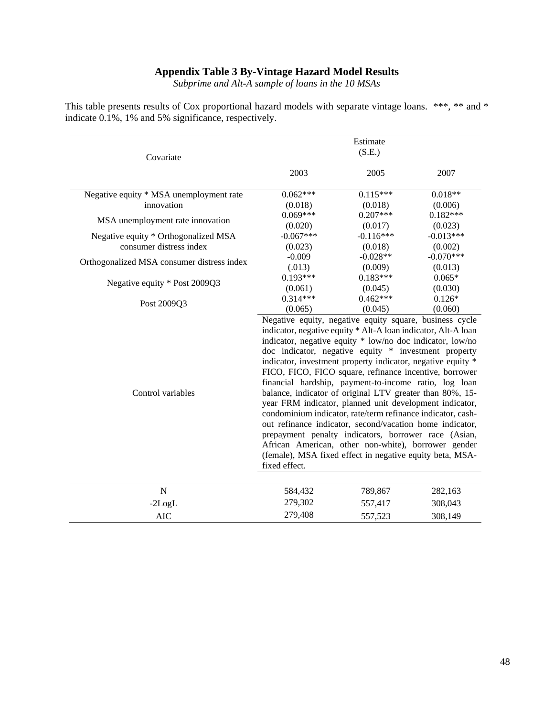### **Appendix Table 3 By-Vintage Hazard Model Results**

*Subprime and Alt-A sample of loans in the 10 MSAs*

| This table presents results of Cox proportional hazard models with separate vintage loans. ***, ** and * |  |
|----------------------------------------------------------------------------------------------------------|--|
| indicate 0.1%, 1% and 5% significance, respectively.                                                     |  |

|                                            |                                                                                                                                                                                                                                                                                                                                                                                                                                                                                                                                                                                                                                                                                                                                                                                                                                                                                                                | Estimate    |             |
|--------------------------------------------|----------------------------------------------------------------------------------------------------------------------------------------------------------------------------------------------------------------------------------------------------------------------------------------------------------------------------------------------------------------------------------------------------------------------------------------------------------------------------------------------------------------------------------------------------------------------------------------------------------------------------------------------------------------------------------------------------------------------------------------------------------------------------------------------------------------------------------------------------------------------------------------------------------------|-------------|-------------|
| Covariate                                  | (S.E.)                                                                                                                                                                                                                                                                                                                                                                                                                                                                                                                                                                                                                                                                                                                                                                                                                                                                                                         |             |             |
|                                            | 2003                                                                                                                                                                                                                                                                                                                                                                                                                                                                                                                                                                                                                                                                                                                                                                                                                                                                                                           | 2005        | 2007        |
| Negative equity * MSA unemployment rate    | $0.062***$                                                                                                                                                                                                                                                                                                                                                                                                                                                                                                                                                                                                                                                                                                                                                                                                                                                                                                     | $0.115***$  | $0.018**$   |
| innovation                                 | (0.018)                                                                                                                                                                                                                                                                                                                                                                                                                                                                                                                                                                                                                                                                                                                                                                                                                                                                                                        | (0.018)     | (0.006)     |
| MSA unemployment rate innovation           | $0.069***$                                                                                                                                                                                                                                                                                                                                                                                                                                                                                                                                                                                                                                                                                                                                                                                                                                                                                                     | $0.207***$  | $0.182***$  |
|                                            | (0.020)                                                                                                                                                                                                                                                                                                                                                                                                                                                                                                                                                                                                                                                                                                                                                                                                                                                                                                        | (0.017)     | (0.023)     |
| Negative equity * Orthogonalized MSA       | $-0.067***$                                                                                                                                                                                                                                                                                                                                                                                                                                                                                                                                                                                                                                                                                                                                                                                                                                                                                                    | $-0.116***$ | $-0.013***$ |
| consumer distress index                    | (0.023)                                                                                                                                                                                                                                                                                                                                                                                                                                                                                                                                                                                                                                                                                                                                                                                                                                                                                                        | (0.018)     | (0.002)     |
| Orthogonalized MSA consumer distress index | $-0.009$                                                                                                                                                                                                                                                                                                                                                                                                                                                                                                                                                                                                                                                                                                                                                                                                                                                                                                       | $-0.028**$  | $-0.070***$ |
|                                            | (.013)                                                                                                                                                                                                                                                                                                                                                                                                                                                                                                                                                                                                                                                                                                                                                                                                                                                                                                         | (0.009)     | (0.013)     |
| Negative equity * Post 2009Q3              | $0.193***$                                                                                                                                                                                                                                                                                                                                                                                                                                                                                                                                                                                                                                                                                                                                                                                                                                                                                                     | $0.183***$  | $0.065*$    |
|                                            | (0.061)                                                                                                                                                                                                                                                                                                                                                                                                                                                                                                                                                                                                                                                                                                                                                                                                                                                                                                        | (0.045)     | (0.030)     |
| Post 2009Q3                                | $0.314***$                                                                                                                                                                                                                                                                                                                                                                                                                                                                                                                                                                                                                                                                                                                                                                                                                                                                                                     | $0.462***$  | $0.126*$    |
| Control variables                          | (0.065)<br>(0.045)<br>(0.060)<br>Negative equity, negative equity square, business cycle<br>indicator, negative equity * Alt-A loan indicator, Alt-A loan<br>indicator, negative equity * low/no doc indicator, low/no<br>doc indicator, negative equity * investment property<br>indicator, investment property indicator, negative equity *<br>FICO, FICO, FICO square, refinance incentive, borrower<br>financial hardship, payment-to-income ratio, log loan<br>balance, indicator of original LTV greater than 80%, 15-<br>year FRM indicator, planned unit development indicator,<br>condominium indicator, rate/term refinance indicator, cash-<br>out refinance indicator, second/vacation home indicator,<br>prepayment penalty indicators, borrower race (Asian,<br>African American, other non-white), borrower gender<br>(female), MSA fixed effect in negative equity beta, MSA-<br>fixed effect. |             |             |
|                                            |                                                                                                                                                                                                                                                                                                                                                                                                                                                                                                                                                                                                                                                                                                                                                                                                                                                                                                                |             |             |
| $\mathbf N$                                | 584,432                                                                                                                                                                                                                                                                                                                                                                                                                                                                                                                                                                                                                                                                                                                                                                                                                                                                                                        | 789,867     | 282,163     |
| $-2LogL$                                   | 279,302                                                                                                                                                                                                                                                                                                                                                                                                                                                                                                                                                                                                                                                                                                                                                                                                                                                                                                        | 557,417     | 308,043     |
| <b>AIC</b>                                 | 279,408                                                                                                                                                                                                                                                                                                                                                                                                                                                                                                                                                                                                                                                                                                                                                                                                                                                                                                        | 557,523     | 308,149     |